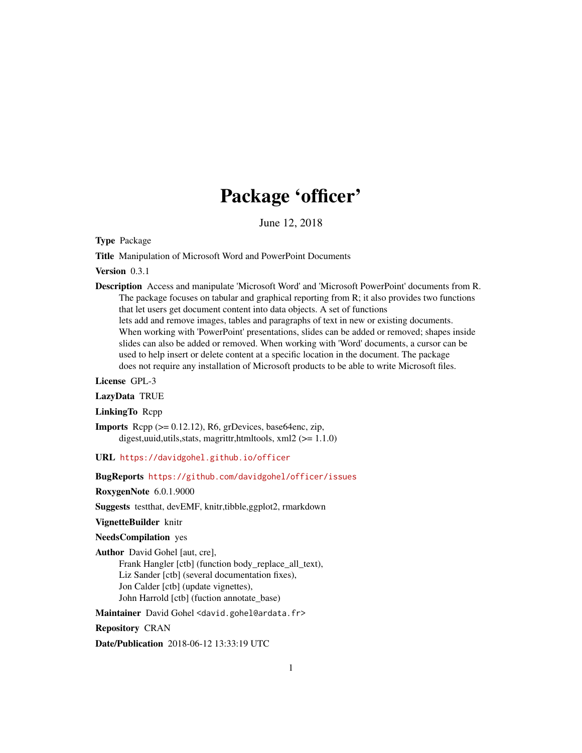# Package 'officer'

June 12, 2018

<span id="page-0-0"></span>Type Package

Title Manipulation of Microsoft Word and PowerPoint Documents

Version 0.3.1

Description Access and manipulate 'Microsoft Word' and 'Microsoft PowerPoint' documents from R. The package focuses on tabular and graphical reporting from R; it also provides two functions that let users get document content into data objects. A set of functions lets add and remove images, tables and paragraphs of text in new or existing documents. When working with 'PowerPoint' presentations, slides can be added or removed; shapes inside slides can also be added or removed. When working with 'Word' documents, a cursor can be used to help insert or delete content at a specific location in the document. The package does not require any installation of Microsoft products to be able to write Microsoft files.

License GPL-3

LazyData TRUE

LinkingTo Rcpp

**Imports** Rcpp  $(>= 0.12.12)$ , R6, grDevices, base64enc, zip, digest,uuid,utils,stats, magrittr,htmltools, xml2 (>= 1.1.0)

URL <https://davidgohel.github.io/officer>

BugReports <https://github.com/davidgohel/officer/issues>

RoxygenNote 6.0.1.9000

Suggests testthat, devEMF, knitr,tibble,ggplot2, rmarkdown

VignetteBuilder knitr

NeedsCompilation yes

Author David Gohel [aut, cre], Frank Hangler [ctb] (function body\_replace\_all\_text), Liz Sander [ctb] (several documentation fixes), Jon Calder [ctb] (update vignettes),

John Harrold [ctb] (fuction annotate\_base)

Maintainer David Gohel <david.gohel@ardata.fr>

Repository CRAN

Date/Publication 2018-06-12 13:33:19 UTC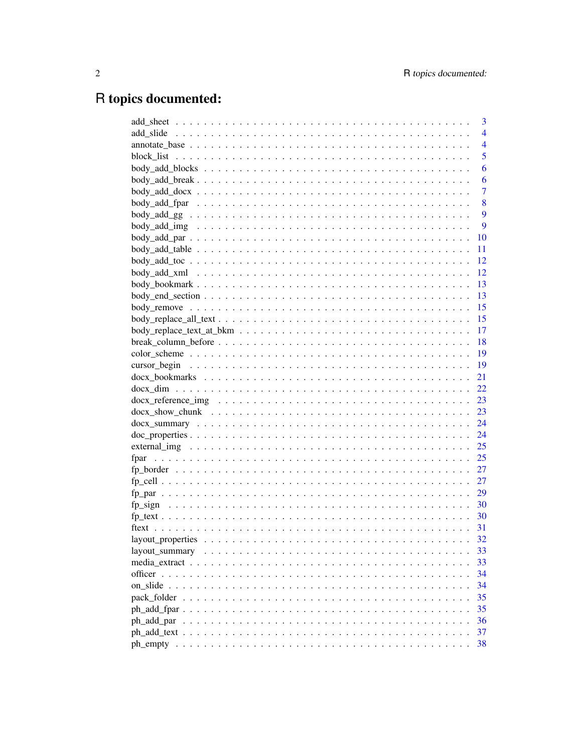# R topics documented:

| 3                                                                                                                |
|------------------------------------------------------------------------------------------------------------------|
| $\overline{4}$                                                                                                   |
| $\overline{4}$                                                                                                   |
| 5                                                                                                                |
| 6                                                                                                                |
| 6                                                                                                                |
| $body\_add\_docx \ldots \ldots \ldots \ldots \ldots \ldots \ldots \ldots \ldots \ldots \ldots$<br>$\overline{7}$ |
| 8                                                                                                                |
| 9                                                                                                                |
| 9                                                                                                                |
| 10                                                                                                               |
| 11                                                                                                               |
| 12                                                                                                               |
| 12                                                                                                               |
| 13                                                                                                               |
| 13                                                                                                               |
| 15                                                                                                               |
| 15                                                                                                               |
| -17                                                                                                              |
| -18                                                                                                              |
| - 19                                                                                                             |
| -19                                                                                                              |
| 21                                                                                                               |
| 22                                                                                                               |
| 23                                                                                                               |
| 23                                                                                                               |
| 24                                                                                                               |
| 24                                                                                                               |
| 25                                                                                                               |
| 25                                                                                                               |
| 27                                                                                                               |
| 27                                                                                                               |
| 29                                                                                                               |
| 30                                                                                                               |
| 30                                                                                                               |
| 31                                                                                                               |
| 32                                                                                                               |
| 33                                                                                                               |
| 33                                                                                                               |
| 34                                                                                                               |
| 34                                                                                                               |
| 35<br>pack folder                                                                                                |
| 35                                                                                                               |
| 36<br>ph_add_par                                                                                                 |
| 37                                                                                                               |
| 38                                                                                                               |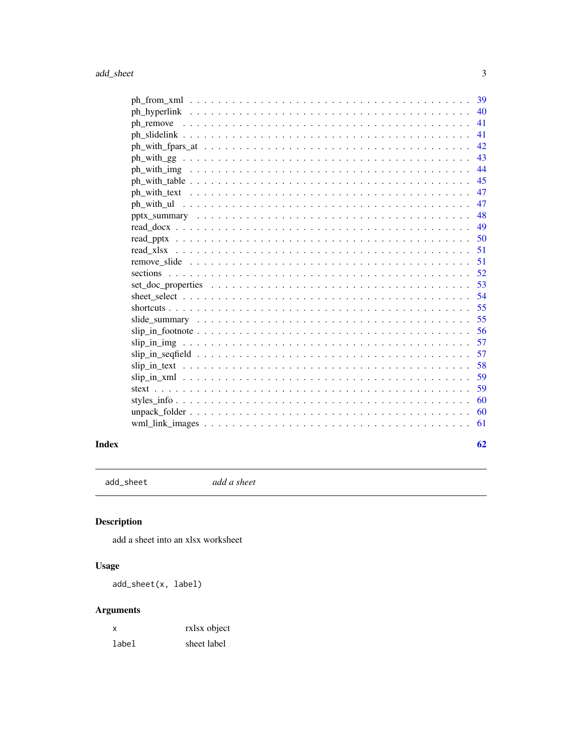<span id="page-2-0"></span>

| 41 |  |
|----|--|
| 41 |  |
| 42 |  |
| 43 |  |
| 44 |  |
| 45 |  |
| 47 |  |
| 47 |  |
| 48 |  |
| 49 |  |
| 50 |  |
| 51 |  |
| 51 |  |
|    |  |
|    |  |
| 54 |  |
| 55 |  |
| 55 |  |
| 56 |  |
| 57 |  |
| 57 |  |
| 58 |  |
| 59 |  |
| 59 |  |
| 60 |  |
| 60 |  |
| 61 |  |
|    |  |

### **Index**

add\_sheet

add a sheet

## Description

add a sheet into an xlsx worksheet

### **Usage**

add\_sheet(x, label)

## **Arguments**

| х     | rxlsx object |
|-------|--------------|
| label | sheet label  |

 $\ensuremath{\mathfrak{Z}}$ 

 $62$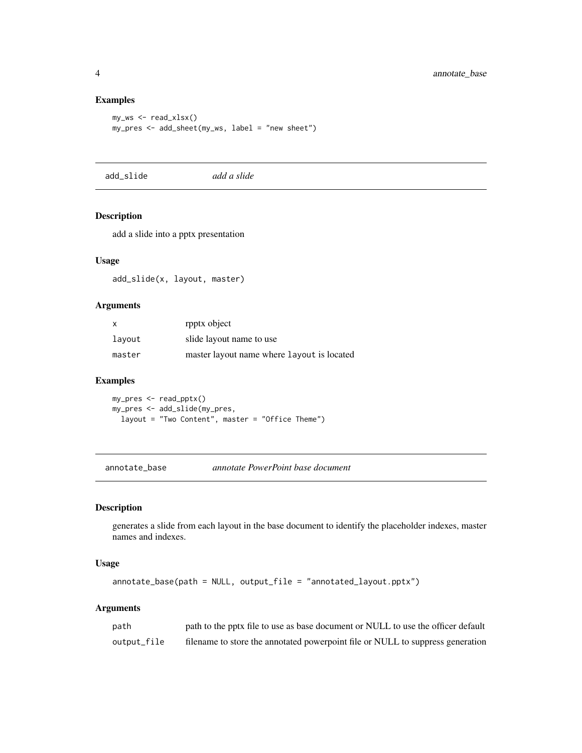### Examples

```
my_ws <- read_xlsx()
my_pres <- add_sheet(my_ws, label = "new sheet")
```
add\_slide *add a slide*

#### Description

add a slide into a pptx presentation

### Usage

add\_slide(x, layout, master)

#### Arguments

| $\boldsymbol{\mathsf{x}}$ | rpptx object                               |
|---------------------------|--------------------------------------------|
| layout                    | slide layout name to use                   |
| master                    | master layout name where layout is located |

#### Examples

my\_pres <- read\_pptx() my\_pres <- add\_slide(my\_pres, layout = "Two Content", master = "Office Theme")

annotate\_base *annotate PowerPoint base document*

### Description

generates a slide from each layout in the base document to identify the placeholder indexes, master names and indexes.

### Usage

```
annotate_base(path = NULL, output_file = "annotated_layout.pptx")
```
### Arguments

| path        | path to the pptx file to use as base document or NULL to use the officer default |
|-------------|----------------------------------------------------------------------------------|
| output_file | filename to store the annotated powerpoint file or NULL to suppress generation   |

<span id="page-3-0"></span>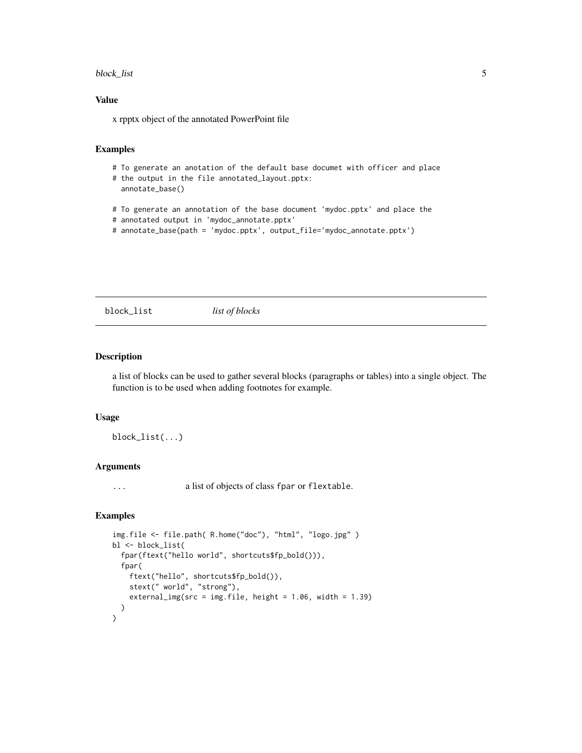#### <span id="page-4-0"></span>block\_list 5

#### Value

x rpptx object of the annotated PowerPoint file

#### Examples

```
# To generate an anotation of the default base documet with officer and place
```

```
# the output in the file annotated_layout.pptx:
 annotate_base()
```
- # To generate an annotation of the base document 'mydoc.pptx' and place the
- # annotated output in 'mydoc\_annotate.pptx'
- # annotate\_base(path = 'mydoc.pptx', output\_file='mydoc\_annotate.pptx')

<span id="page-4-1"></span>block\_list *list of blocks*

### Description

a list of blocks can be used to gather several blocks (paragraphs or tables) into a single object. The function is to be used when adding footnotes for example.

#### Usage

block\_list(...)

#### Arguments

... a list of objects of class fpar or flextable.

```
img.file <- file.path( R.home("doc"), "html", "logo.jpg" )
bl <- block_list(
  fpar(ftext("hello world", shortcuts$fp_bold())),
  fpar(
    ftext("hello", shortcuts$fp_bold()),
    stext(" world", "strong"),
    external_img(src = img.file, height = 1.06, width = 1.39)
  )
\mathcal{L}
```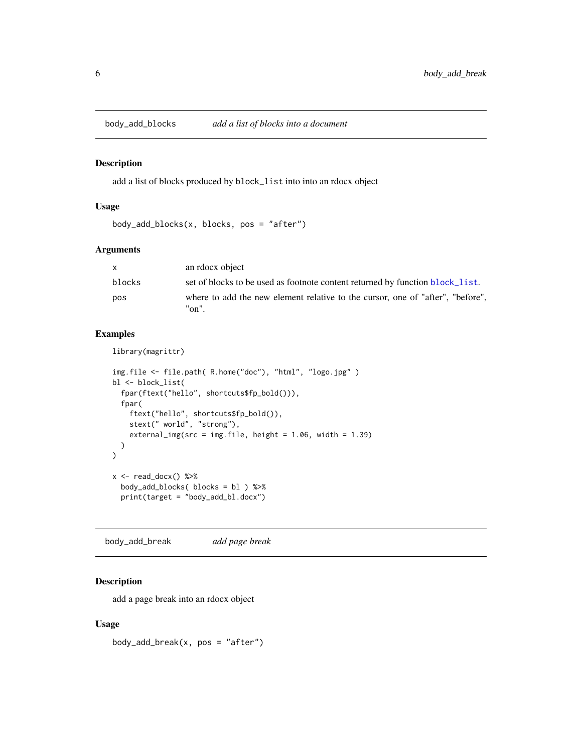<span id="page-5-0"></span>

add a list of blocks produced by block\_list into into an rdocx object

#### Usage

```
body_add_blocks(x, blocks, pos = "after")
```
### Arguments

| X      | an rdocx object                                                                         |
|--------|-----------------------------------------------------------------------------------------|
| blocks | set of blocks to be used as footnote content returned by function block_list.           |
| pos    | where to add the new element relative to the cursor, one of "after", "before",<br>"on". |

### Examples

library(magrittr)

```
img.file <- file.path( R.home("doc"), "html", "logo.jpg" )
bl <- block_list(
  fpar(ftext("hello", shortcuts$fp_bold())),
  fpar(
    ftext("hello", shortcuts$fp_bold()),
    stext(" world", "strong"),
    external_img(src = img.file, height = 1.06, width = 1.39)
  )
)
x \leftarrow \text{read\_docx() %>}body_add_blocks( blocks = bl ) %>%
  print(target = "body_add_bl.docx")
```
body\_add\_break *add page break*

### Description

add a page break into an rdocx object

#### Usage

body\_add\_break(x, pos = "after")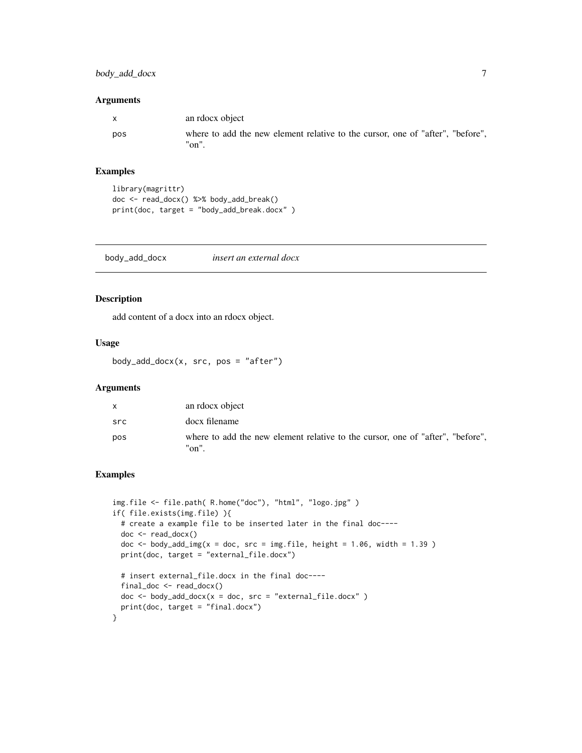### <span id="page-6-0"></span>body\_add\_docx 7

#### Arguments

| $\mathsf{X}$ | an rdocx object                                                                         |
|--------------|-----------------------------------------------------------------------------------------|
| pos          | where to add the new element relative to the cursor, one of "after", "before",<br>"on". |

### Examples

```
library(magrittr)
doc <- read_docx() %>% body_add_break()
print(doc, target = "body_add_break.docx" )
```
body\_add\_docx *insert an external docx*

### Description

add content of a docx into an rdocx object.

#### Usage

body\_add\_docx(x, src, pos = "after")

### Arguments

| X   | an rdocx object                                                                         |
|-----|-----------------------------------------------------------------------------------------|
| src | docx filename                                                                           |
| pos | where to add the new element relative to the cursor, one of "after", "before".<br>"on". |

```
img.file <- file.path( R.home("doc"), "html", "logo.jpg" )
if( file.exists(img.file) ){
  # create a example file to be inserted later in the final doc----
  doc <- read_docx()
  doc \le body_add_img(x = doc, src = img.file, height = 1.06, width = 1.39 )
  print(doc, target = "external_file.docx")
  # insert external_file.docx in the final doc----
  final_doc <- read_docx()
  doc <- body_add_docx(x = doc, src = "external_file.docx")
  print(doc, target = "final.docx")
}
```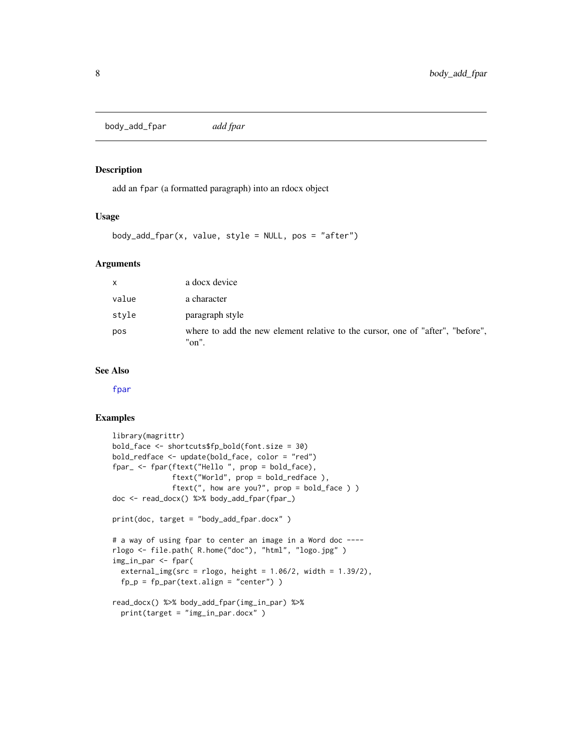<span id="page-7-0"></span>body\_add\_fpar *add fpar*

#### Description

add an fpar (a formatted paragraph) into an rdocx object

#### Usage

 $body\_add\_fpar(x, value, style = NULL, pos = "after")$ 

#### Arguments

| $\mathsf{x}$ | a docx device                                                                           |
|--------------|-----------------------------------------------------------------------------------------|
| value        | a character                                                                             |
| style        | paragraph style                                                                         |
| pos          | where to add the new element relative to the cursor, one of "after", "before",<br>"on". |

### See Also

[fpar](#page-24-1)

```
library(magrittr)
bold_face <- shortcuts$fp_bold(font.size = 30)
bold_redface <- update(bold_face, color = "red")
fpar_ <- fpar(ftext("Hello ", prop = bold_face),
              ftext("World", prop = bold_redface ),
              ftext(", how are you?", prop = bold_face ) )
doc <- read_docx() %>% body_add_fpar(fpar_)
print(doc, target = "body_add_fpar.docx" )
# a way of using fpar to center an image in a Word doc ----
rlogo <- file.path( R.home("doc"), "html", "logo.jpg" )
img_in_par <- fpar(
  external\_img(src = rlogo, height = 1.06/2, width = 1.39/2),fp_p = fp_par(text.align = "center"))
read_docx() %>% body_add_fpar(img_in_par) %>%
  print(target = "img_in_par.docx" )
```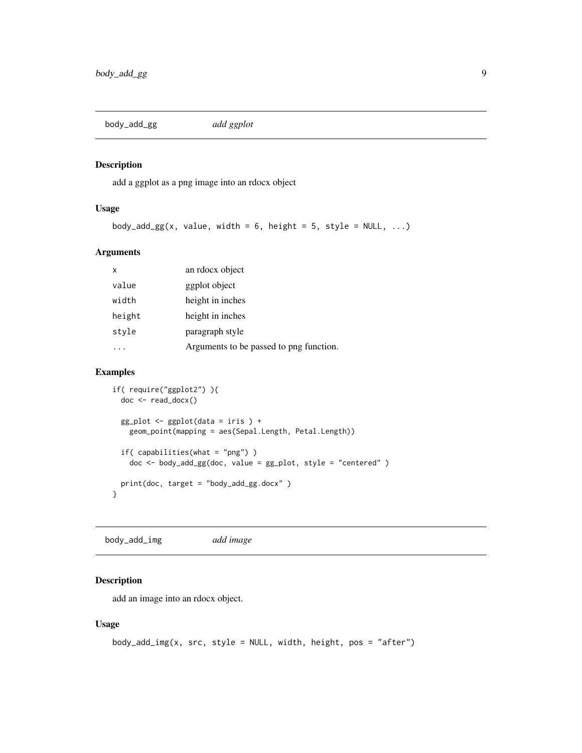<span id="page-8-0"></span>body\_add\_gg *add ggplot*

### Description

add a ggplot as a png image into an rdocx object

#### Usage

```
body_add_gg(x, value, width = 6, height = 5, style = NULL, ...)
```
### Arguments

| X      | an rdocx object                         |
|--------|-----------------------------------------|
| value  | ggplot object                           |
| width  | height in inches                        |
| height | height in inches                        |
| style  | paragraph style                         |
|        | Arguments to be passed to png function. |

### Examples

```
if( require("ggplot2") ){
  doc <- read_docx()
  gg\_plot \leftarrow ggplot(data = iris ) +geom_point(mapping = aes(Sepal.Length, Petal.Length))
  if( capabilities(what = "png") )
    doc <- body_add_gg(doc, value = gg_plot, style = "centered" )
  print(doc, target = "body_add_gg.docx" )
}
```
body\_add\_img *add image*

### Description

add an image into an rdocx object.

#### Usage

```
body_add_img(x, src, style = NULL, width, height, pos = "after")
```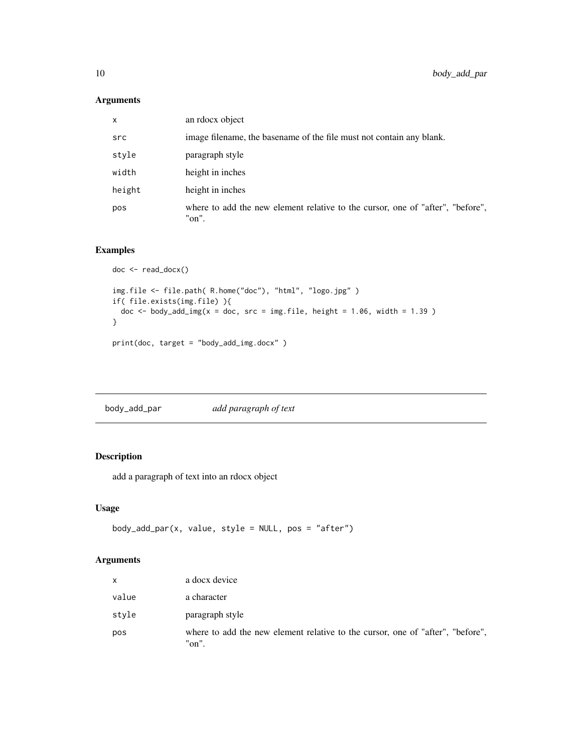### <span id="page-9-0"></span>Arguments

| X      | an rdocx object                                                                         |
|--------|-----------------------------------------------------------------------------------------|
| src    | image filename, the basename of the file must not contain any blank.                    |
| style  | paragraph style                                                                         |
| width  | height in inches                                                                        |
| height | height in inches                                                                        |
| pos    | where to add the new element relative to the cursor, one of "after", "before",<br>"on". |

### Examples

```
doc <- read_docx()
img.file <- file.path( R.home("doc"), "html", "logo.jpg" )
if( file.exists(img.file) ){
 doc \le body_add_img(x = doc, src = img.file, height = 1.06, width = 1.39 )
}
print(doc, target = "body_add_img.docx" )
```
body\_add\_par *add paragraph of text*

### Description

add a paragraph of text into an rdocx object

### Usage

```
body_add_par(x, value, style = NULL, pos = "after")
```
### Arguments

| X     | a docx device                                                                           |
|-------|-----------------------------------------------------------------------------------------|
| value | a character                                                                             |
| style | paragraph style                                                                         |
| pos   | where to add the new element relative to the cursor, one of "after", "before",<br>"on". |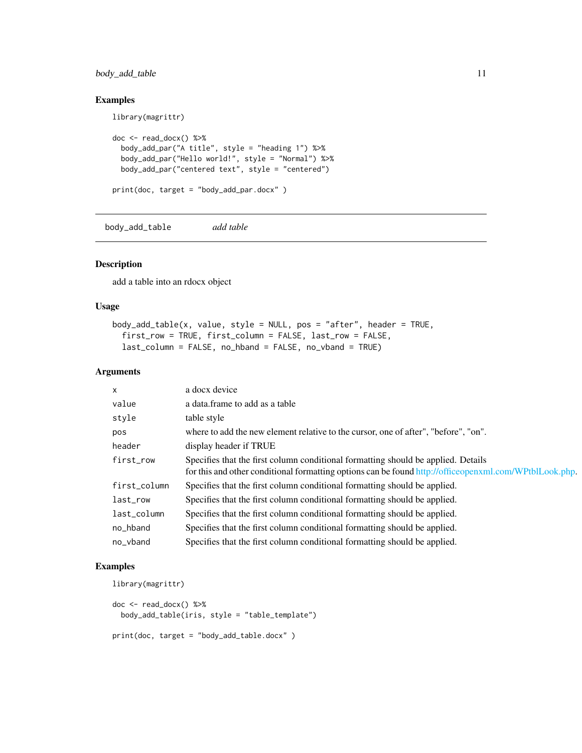### <span id="page-10-0"></span>body\_add\_table 11

library(magrittr)

### Examples

```
doc <- read_docx() %>%
  body_add_par("A title", style = "heading 1") %>%
  body_add_par("Hello world!", style = "Normal") %>%
  body_add_par("centered text", style = "centered")
print(doc, target = "body_add_par.docx" )
```
body\_add\_table *add table*

#### Description

add a table into an rdocx object

#### Usage

```
body_add_table(x, value, style = NULL, pos = "after", header = TRUE,
  first_row = TRUE, first_column = FALSE, last_row = FALSE,
  last_column = FALSE, no_hband = FALSE, no_vband = TRUE)
```
### Arguments

| X            | a docx device                                                                                                                                                                               |
|--------------|---------------------------------------------------------------------------------------------------------------------------------------------------------------------------------------------|
| value        | a data.frame to add as a table                                                                                                                                                              |
| style        | table style                                                                                                                                                                                 |
| pos          | where to add the new element relative to the cursor, one of after", "before", "on".                                                                                                         |
| header       | display header if TRUE                                                                                                                                                                      |
| first_row    | Specifies that the first column conditional formatting should be applied. Details<br>for this and other conditional formatting options can be found http://officeopenxml.com/WPtblLook.php. |
| first_column | Specifies that the first column conditional formatting should be applied.                                                                                                                   |
| last_row     | Specifies that the first column conditional formatting should be applied.                                                                                                                   |
| last_column  | Specifies that the first column conditional formatting should be applied.                                                                                                                   |
| no_hband     | Specifies that the first column conditional formatting should be applied.                                                                                                                   |
| no_vband     | Specifies that the first column conditional formatting should be applied.                                                                                                                   |

```
library(magrittr)
```

```
doc <- read_docx() %>%
 body_add_table(iris, style = "table_template")
print(doc, target = "body_add_table.docx" )
```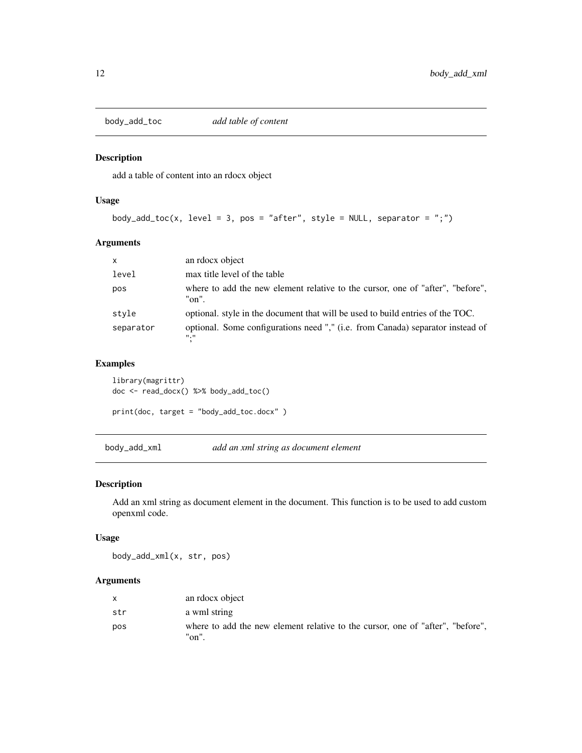<span id="page-11-0"></span>

add a table of content into an rdocx object

#### Usage

```
body_add_toc(x, level = 3, pos = "after", style = NULL, separator = ";")
```
### Arguments

| $\mathsf{x}$ | an rdocx object                                                                              |
|--------------|----------------------------------------------------------------------------------------------|
| level        | max title level of the table                                                                 |
| pos          | where to add the new element relative to the cursor, one of "after", "before",<br>"on".      |
| style        | optional. style in the document that will be used to build entries of the TOC.               |
| separator    | optional. Some configurations need "," (i.e. from Canada) separator instead of<br><b>H.H</b> |

### Examples

library(magrittr) doc <- read\_docx() %>% body\_add\_toc() print(doc, target = "body\_add\_toc.docx" )

body\_add\_xml *add an xml string as document element*

#### Description

Add an xml string as document element in the document. This function is to be used to add custom openxml code.

### Usage

body\_add\_xml(x, str, pos)

### Arguments

|     | an rdocx object                                                                         |
|-----|-----------------------------------------------------------------------------------------|
| str | a wml string                                                                            |
| pos | where to add the new element relative to the cursor, one of "after", "before",<br>"on". |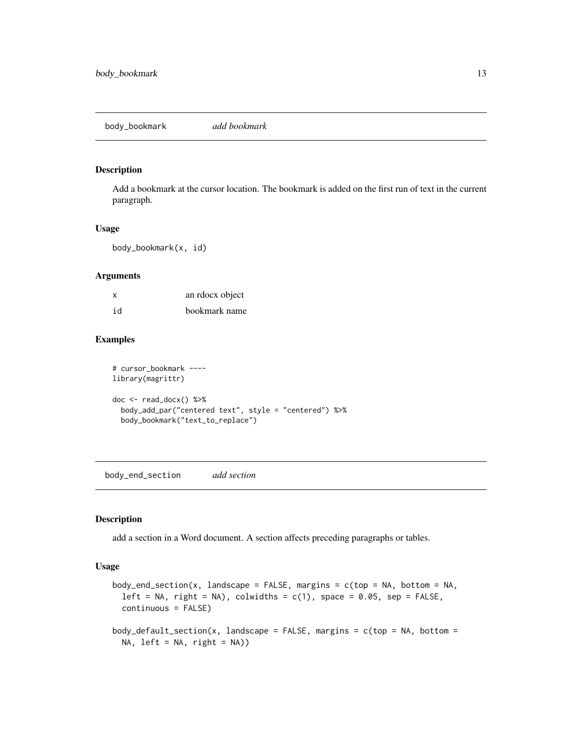<span id="page-12-0"></span>body\_bookmark *add bookmark*

#### Description

Add a bookmark at the cursor location. The bookmark is added on the first run of text in the current paragraph.

#### Usage

body\_bookmark(x, id)

#### Arguments

| x  | an rdocx object |
|----|-----------------|
| id | bookmark name   |

### Examples

```
# cursor_bookmark ----
library(magrittr)
doc <- read_docx() %>%
  body_add_par("centered text", style = "centered") %>%
  body_bookmark("text_to_replace")
```
body\_end\_section *add section*

#### Description

add a section in a Word document. A section affects preceding paragraphs or tables.

### Usage

```
body_end_section(x, landscape = FALSE, margins = c(top = NA, bottom = NA,left = NA, right = NA), colwidths = c(1), space = 0.05, sep = FALSE,
 continuous = FALSE)
body_default_section(x, landscape = FALSE, margins = c(top = NA, bottom =NA, left = NA, right = NA))
```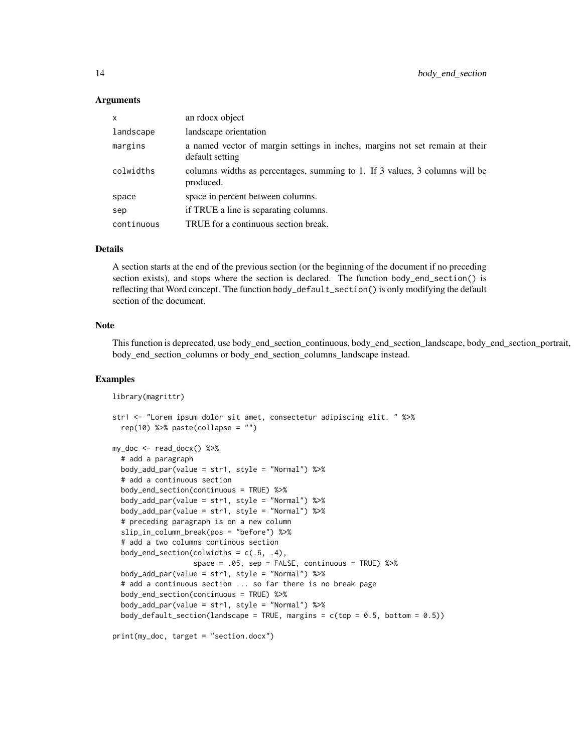#### Arguments

| an rdocx object                                                                                 |
|-------------------------------------------------------------------------------------------------|
| landscape orientation                                                                           |
| a named vector of margin settings in inches, margins not set remain at their<br>default setting |
| columns widths as percentages, summing to 1. If 3 values, 3 columns will be<br>produced.        |
| space in percent between columns.                                                               |
| if TRUE a line is separating columns.                                                           |
| TRUE for a continuous section break.                                                            |
|                                                                                                 |

#### Details

A section starts at the end of the previous section (or the beginning of the document if no preceding section exists), and stops where the section is declared. The function body\_end\_section() is reflecting that Word concept. The function body\_default\_section() is only modifying the default section of the document.

#### Note

This function is deprecated, use body\_end\_section\_continuous, body\_end\_section\_landscape, body\_end\_section\_portrait, body\_end\_section\_columns or body\_end\_section\_columns\_landscape instead.

#### Examples

```
library(magrittr)
str1 <- "Lorem ipsum dolor sit amet, consectetur adipiscing elit. " %>%
  rep(10) %>% paste(collapse = "")
my_doc <- read_docx() %>%
  # add a paragraph
  body_add_par(value = str1, style = "Normal") %>%
  # add a continuous section
  body_end_section(continuous = TRUE) %>%
  body_add_par(value = str1, style = "Normal") %>%
  body_add_par(value = str1, style = "Normal") %>%
  # preceding paragraph is on a new column
  slip_in_column_break(pos = "before") %>%
  # add a two columns continous section
  body_end_section(colwidths = c(.6, .4),
                   space = .05, sep = FALSE, continuous = TRUE) %>%
  body_add_par(value = str1, style = "Normal") %>%
  # add a continuous section ... so far there is no break page
  body_end_section(continuous = TRUE) %>%
```
body\_default\_section(landscape = TRUE, margins =  $c(top = 0.5, bottom = 0.5)$ )

```
print(my_doc, target = "section.docx")
```
body\_add\_par(value = str1, style = "Normal") %>%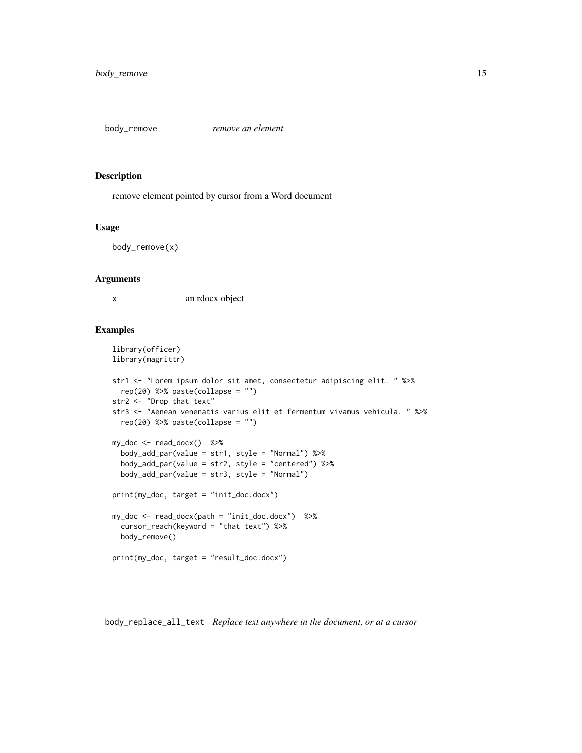<span id="page-14-0"></span>

remove element pointed by cursor from a Word document

#### Usage

body\_remove(x)

#### **Arguments**

x an rdocx object

#### Examples

```
library(officer)
library(magrittr)
str1 <- "Lorem ipsum dolor sit amet, consectetur adipiscing elit. " %>%
  rep(20) %>% paste(collapse = "")
str2 <- "Drop that text"
str3 <- "Aenean venenatis varius elit et fermentum vivamus vehicula. " %>%
  rep(20) %>% paste(collapse = "")
my_doc <- read_docx() %>%
  body_add_par(value = str1, style = "Normal") %>%
  body_add_par(value = str2, style = "centered") %>%
  body_add_par(value = str3, style = "Normal")
print(my_doc, target = "init_doc.docx")
my_doc <- read_docx(path = "init_doc.docx") %>%
  cursor_reach(keyword = "that text") %>%
  body_remove()
print(my_doc, target = "result_doc.docx")
```
<span id="page-14-1"></span>body\_replace\_all\_text *Replace text anywhere in the document, or at a cursor*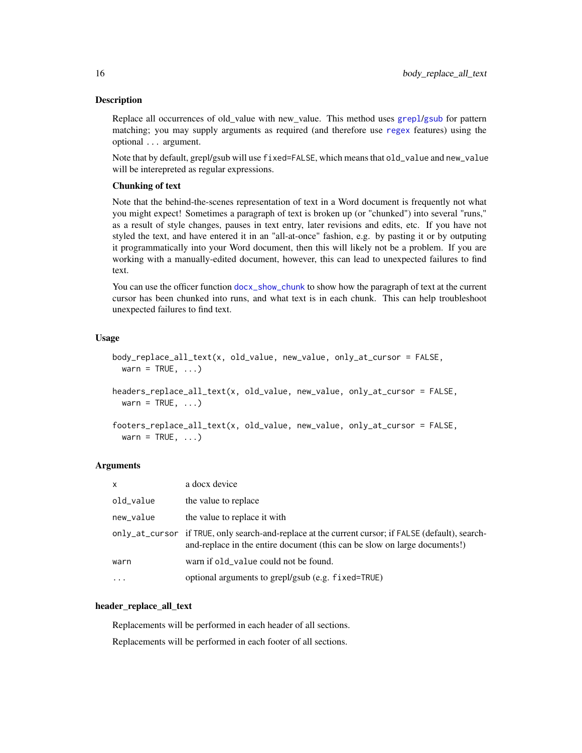<span id="page-15-0"></span>Replace all occurrences of old\_value with new\_value. This method uses [grepl](#page-0-0)/[gsub](#page-0-0) for pattern matching; you may supply arguments as required (and therefore use [regex](#page-0-0) features) using the optional ... argument.

Note that by default, grepl/gsub will use fixed=FALSE, which means that old\_value and new\_value will be interepreted as regular expressions.

#### Chunking of text

Note that the behind-the-scenes representation of text in a Word document is frequently not what you might expect! Sometimes a paragraph of text is broken up (or "chunked") into several "runs," as a result of style changes, pauses in text entry, later revisions and edits, etc. If you have not styled the text, and have entered it in an "all-at-once" fashion, e.g. by pasting it or by outputing it programmatically into your Word document, then this will likely not be a problem. If you are working with a manually-edited document, however, this can lead to unexpected failures to find text.

You can use the officer function [docx\\_show\\_chunk](#page-22-1) to show how the paragraph of text at the current cursor has been chunked into runs, and what text is in each chunk. This can help troubleshoot unexpected failures to find text.

#### Usage

```
body_replace_all_text(x, old_value, new_value, only_at_cursor = FALSE,
 warn = TRUE, ...)
```

```
headers_replace_all_text(x, old_value, new_value, only_at_cursor = FALSE,
 warn = TRUE, \ldots)
```

```
footers_replace_all_text(x, old_value, new_value, only_at_cursor = FALSE,
  warn = TRUE, \ldots)
```
#### Arguments

| $\mathsf{x}$ | a docx device                                                                                                                                                                   |
|--------------|---------------------------------------------------------------------------------------------------------------------------------------------------------------------------------|
| old_value    | the value to replace                                                                                                                                                            |
| new_value    | the value to replace it with                                                                                                                                                    |
|              | only_at_cursor if TRUE, only search-and-replace at the current cursor; if FALSE (default), search-<br>and-replace in the entire document (this can be slow on large documents!) |
| warn         | warn if old_value could not be found.                                                                                                                                           |
| $\cdot$      | optional arguments to grepl/gsub (e.g. fixed=TRUE)                                                                                                                              |

#### header\_replace\_all\_text

Replacements will be performed in each header of all sections. Replacements will be performed in each footer of all sections.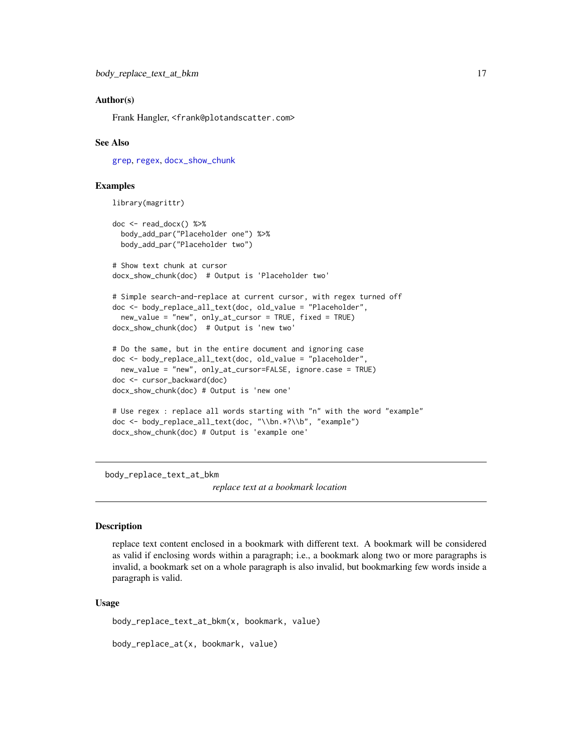#### <span id="page-16-0"></span>Author(s)

Frank Hangler, <frank@plotandscatter.com>

#### See Also

[grep](#page-0-0), [regex](#page-0-0), [docx\\_show\\_chunk](#page-22-1)

### Examples

```
library(magrittr)
doc <- read_docx() %>%
 body_add_par("Placeholder one") %>%
 body_add_par("Placeholder two")
# Show text chunk at cursor
docx_show_chunk(doc) # Output is 'Placeholder two'
# Simple search-and-replace at current cursor, with regex turned off
doc <- body_replace_all_text(doc, old_value = "Placeholder",
 new_value = "new", only_at_cursor = TRUE, fixed = TRUE)
docx_show_chunk(doc) # Output is 'new two'
# Do the same, but in the entire document and ignoring case
doc <- body_replace_all_text(doc, old_value = "placeholder",
 new_value = "new", only_at_cursor=FALSE, ignore.case = TRUE)
doc <- cursor_backward(doc)
docx_show_chunk(doc) # Output is 'new one'
# Use regex : replace all words starting with "n" with the word "example"
doc <- body_replace_all_text(doc, "\\bn.*?\\b", "example")
docx_show_chunk(doc) # Output is 'example one'
```
body\_replace\_text\_at\_bkm

*replace text at a bookmark location*

#### Description

replace text content enclosed in a bookmark with different text. A bookmark will be considered as valid if enclosing words within a paragraph; i.e., a bookmark along two or more paragraphs is invalid, a bookmark set on a whole paragraph is also invalid, but bookmarking few words inside a paragraph is valid.

#### Usage

body\_replace\_text\_at\_bkm(x, bookmark, value)

body\_replace\_at(x, bookmark, value)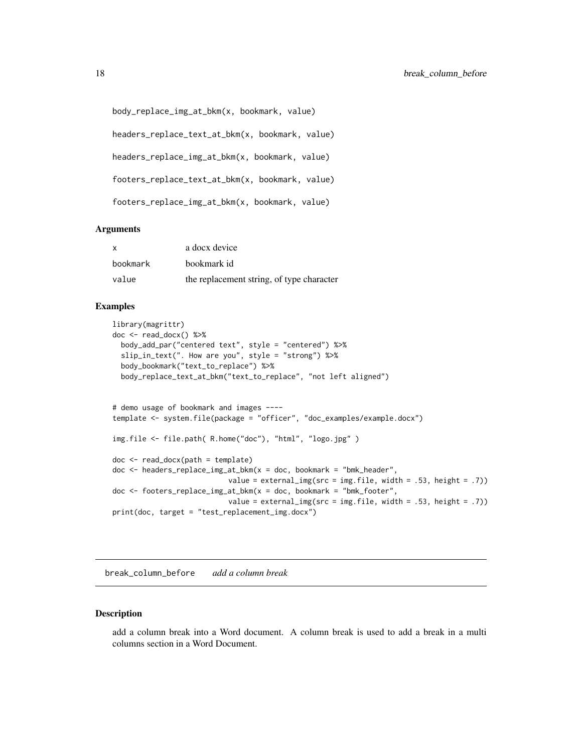```
body_replace_img_at_bkm(x, bookmark, value)
```
headers\_replace\_text\_at\_bkm(x, bookmark, value)

```
headers_replace_img_at_bkm(x, bookmark, value)
```

```
footers_replace_text_at_bkm(x, bookmark, value)
```
footers\_replace\_img\_at\_bkm(x, bookmark, value)

### Arguments

| x        | a docx device                             |
|----------|-------------------------------------------|
| bookmark | bookmark id                               |
| value    | the replacement string, of type character |

#### Examples

```
library(magrittr)
doc <- read_docx() %>%
 body_add_par("centered text", style = "centered") %>%
 slip_in_text(". How are you", style = "strong") %>%
 body_bookmark("text_to_replace") %>%
 body_replace_text_at_bkm("text_to_replace", "not left aligned")
# demo usage of bookmark and images ----
template <- system.file(package = "officer", "doc_examples/example.docx")
img.file <- file.path( R.home("doc"), "html", "logo.jpg" )
doc <- read_docx(path = template)
doc <- headers_replace_img_at_bkm(x = doc, bookmark = "bmk_header",
                           value = external_img(src = img.file, width = .53, height = .7))
doc <- footers_replace_img_at_bkm(x = doc, bookmark = "bmk_footer",
                           value = ext{central\_img}(src = img.file, width = .53, height = .7))print(doc, target = "test_replacement_img.docx")
```
break\_column\_before *add a column break*

#### Description

add a column break into a Word document. A column break is used to add a break in a multi columns section in a Word Document.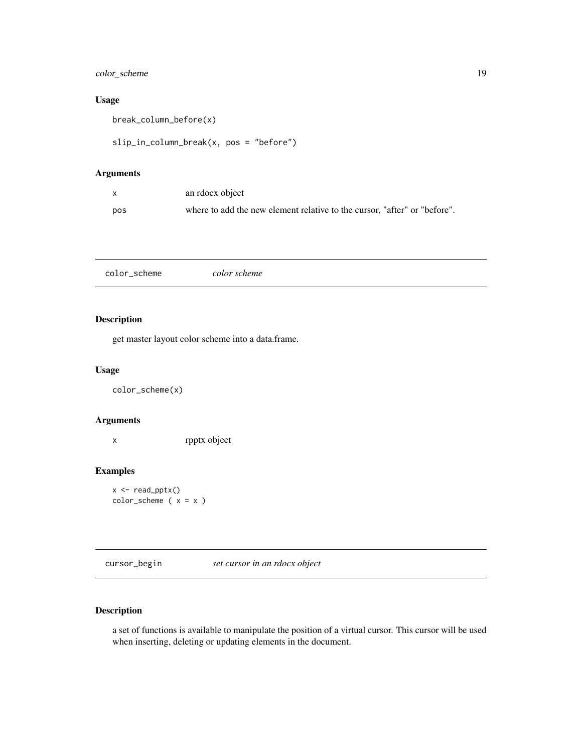### <span id="page-18-0"></span>color\_scheme 19

### Usage

break\_column\_before(x)

```
slip_in_column_break(x, pos = "before")
```
### Arguments

| X   | an rdocx object                                                           |
|-----|---------------------------------------------------------------------------|
| pos | where to add the new element relative to the cursor, "after" or "before". |

color\_scheme *color scheme*

### Description

get master layout color scheme into a data.frame.

### Usage

color\_scheme(x)

#### Arguments

x rpptx object

### Examples

x <- read\_pptx() color\_scheme ( x = x )

cursor\_begin *set cursor in an rdocx object*

### Description

a set of functions is available to manipulate the position of a virtual cursor. This cursor will be used when inserting, deleting or updating elements in the document.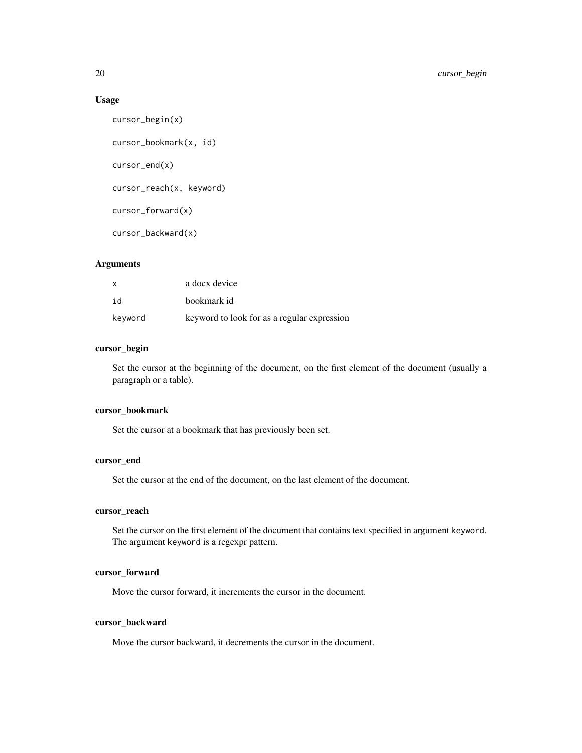### Usage

```
cursor_begin(x)
cursor_bookmark(x, id)
cursor_end(x)
cursor_reach(x, keyword)
cursor_forward(x)
cursor_backward(x)
```
### Arguments

| $\mathsf{x}$ | a docx device                               |
|--------------|---------------------------------------------|
| id           | bookmark id                                 |
| keyword      | keyword to look for as a regular expression |

#### cursor\_begin

Set the cursor at the beginning of the document, on the first element of the document (usually a paragraph or a table).

#### cursor\_bookmark

Set the cursor at a bookmark that has previously been set.

### cursor\_end

Set the cursor at the end of the document, on the last element of the document.

### cursor\_reach

Set the cursor on the first element of the document that contains text specified in argument keyword. The argument keyword is a regexpr pattern.

#### cursor\_forward

Move the cursor forward, it increments the cursor in the document.

### cursor\_backward

Move the cursor backward, it decrements the cursor in the document.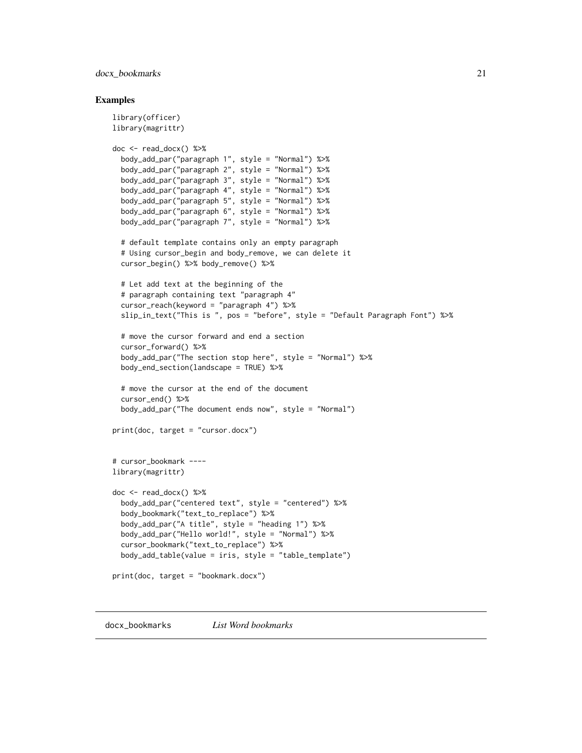### <span id="page-20-0"></span>docx\_bookmarks 21

#### Examples

```
library(officer)
library(magrittr)
doc <- read_docx() %>%
 body_add_par("paragraph 1", style = "Normal") %>%
 body_add_par("paragraph 2", style = "Normal") %>%
 body_add_par("paragraph 3", style = "Normal") %>%
 body_add_par("paragraph 4", style = "Normal") %>%
 body_add_par("paragraph 5", style = "Normal") %>%
 body_add_par("paragraph 6", style = "Normal") %>%
 body_add_par("paragraph 7", style = "Normal") %>%
 # default template contains only an empty paragraph
 # Using cursor_begin and body_remove, we can delete it
 cursor_begin() %>% body_remove() %>%
 # Let add text at the beginning of the
 # paragraph containing text "paragraph 4"
 cursor_reach(keyword = "paragraph 4") %>%
 slip_in_text("This is ", pos = "before", style = "Default Paragraph Font") %>%
 # move the cursor forward and end a section
 cursor_forward() %>%
 body_add_par("The section stop here", style = "Normal") %>%
 body_end_section(landscape = TRUE) %>%
 # move the cursor at the end of the document
 cursor_end() %>%
 body_add_par("The document ends now", style = "Normal")
print(doc, target = "cursor.docx")
# cursor_bookmark ----
library(magrittr)
doc <- read_docx() %>%
 body_add_par("centered text", style = "centered") %>%
 body_bookmark("text_to_replace") %>%
 body_add_par("A title", style = "heading 1") %>%
 body_add_par("Hello world!", style = "Normal") %>%
 cursor_bookmark("text_to_replace") %>%
 body_add_table(value = iris, style = "table_template")
print(doc, target = "bookmark.docx")
```
docx\_bookmarks *List Word bookmarks*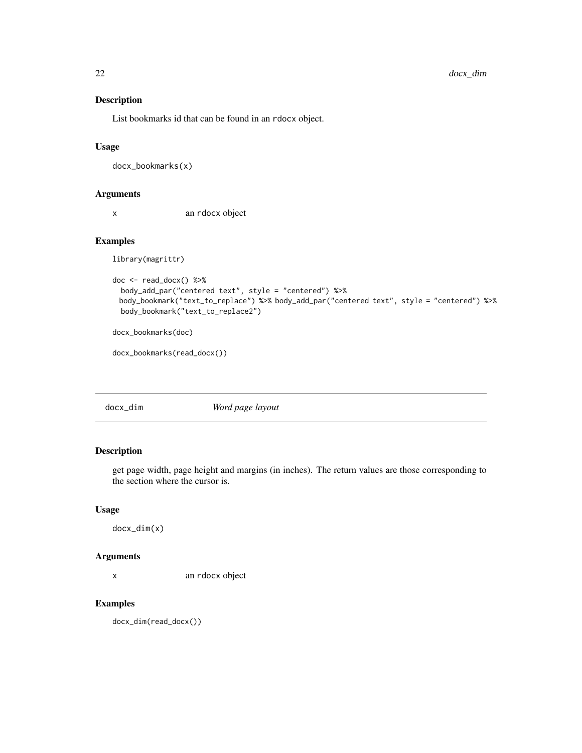<span id="page-21-0"></span>List bookmarks id that can be found in an rdocx object.

### Usage

docx\_bookmarks(x)

### Arguments

x an rdocx object

### Examples

library(magrittr)

```
doc <- read_docx() %>%
  body_add_par("centered text", style = "centered") %>%
 body_bookmark("text_to_replace") %>% body_add_par("centered text", style = "centered") %>%
  body_bookmark("text_to_replace2")
docx_bookmarks(doc)
```
docx\_bookmarks(read\_docx())

docx\_dim *Word page layout*

### Description

get page width, page height and margins (in inches). The return values are those corresponding to the section where the cursor is.

#### Usage

docx\_dim(x)

#### Arguments

x an rdocx object

### Examples

docx\_dim(read\_docx())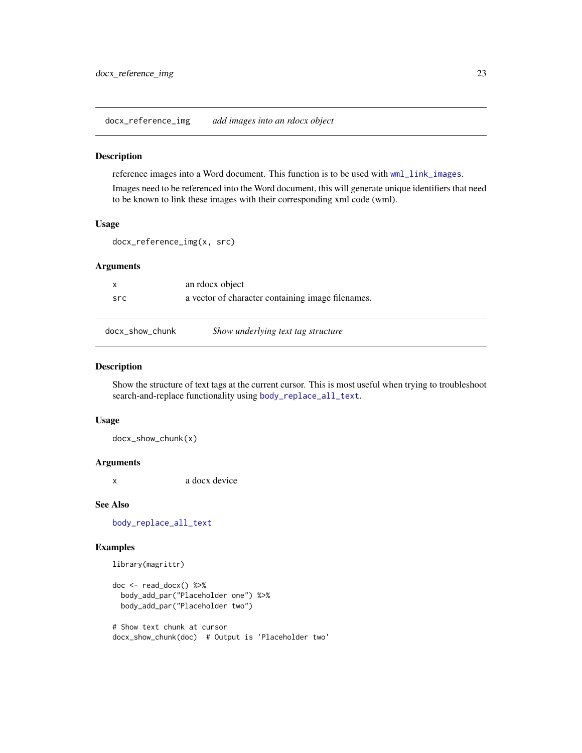<span id="page-22-0"></span>docx\_reference\_img *add images into an rdocx object*

#### Description

reference images into a Word document. This function is to be used with [wml\\_link\\_images](#page-60-1). Images need to be referenced into the Word document, this will generate unique identifiers that need to be known to link these images with their corresponding xml code (wml).

### Usage

```
docx_reference_img(x, src)
```
### Arguments

|     | an rdocx object                                   |
|-----|---------------------------------------------------|
| src | a vector of character containing image filenames. |

<span id="page-22-1"></span>

| docx_show_chunk | Show underlying text tag structure |
|-----------------|------------------------------------|
|-----------------|------------------------------------|

### Description

Show the structure of text tags at the current cursor. This is most useful when trying to troubleshoot search-and-replace functionality using [body\\_replace\\_all\\_text](#page-14-1).

#### Usage

docx\_show\_chunk(x)

#### Arguments

x a docx device

#### See Also

[body\\_replace\\_all\\_text](#page-14-1)

```
library(magrittr)
```

```
doc <- read_docx() %>%
 body_add_par("Placeholder one") %>%
 body_add_par("Placeholder two")
```

```
# Show text chunk at cursor
docx_show_chunk(doc) # Output is 'Placeholder two'
```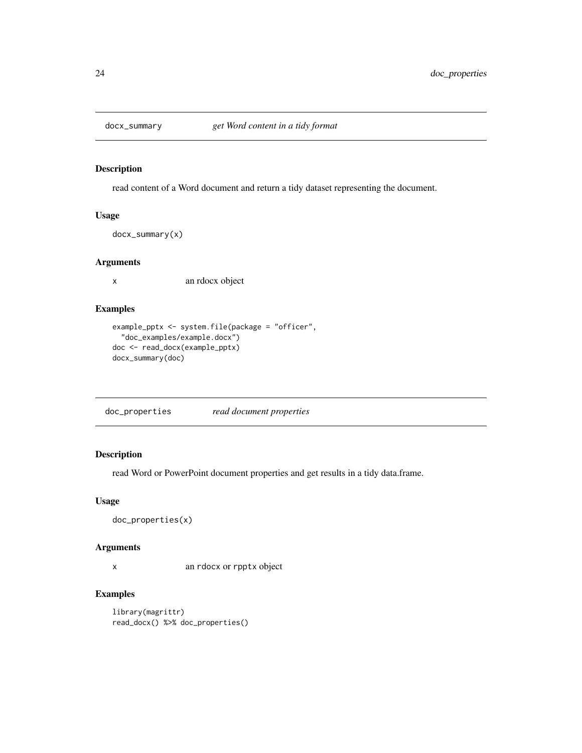<span id="page-23-0"></span>

read content of a Word document and return a tidy dataset representing the document.

### Usage

docx\_summary(x)

### Arguments

x an rdocx object

### Examples

```
example_pptx <- system.file(package = "officer",
  "doc_examples/example.docx")
doc <- read_docx(example_pptx)
docx_summary(doc)
```
doc\_properties *read document properties*

### Description

read Word or PowerPoint document properties and get results in a tidy data.frame.

### Usage

```
doc_properties(x)
```
#### Arguments

x an rdocx or rpptx object

```
library(magrittr)
read_docx() %>% doc_properties()
```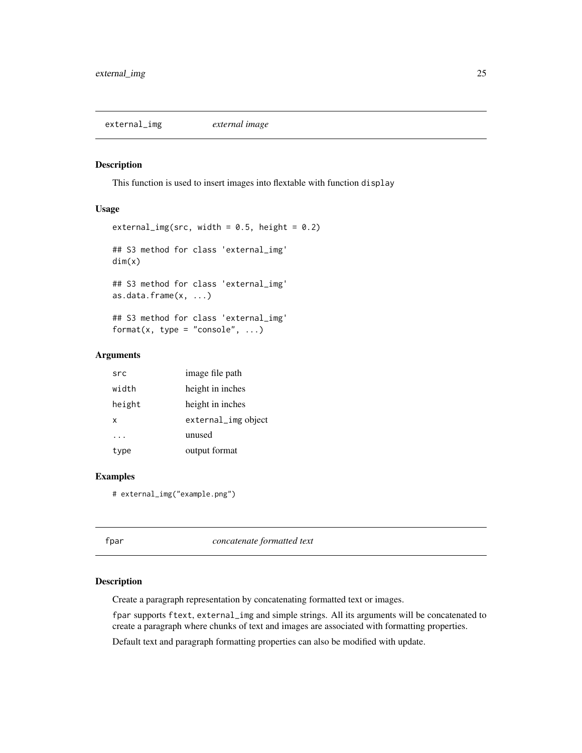<span id="page-24-0"></span>external\_img *external image*

#### Description

This function is used to insert images into flextable with function display

### Usage

```
external_img(src, width = 0.5, height = 0.2)
## S3 method for class 'external_img'
dim(x)
## S3 method for class 'external_img'
as.data.frame(x, ...)
## S3 method for class 'external_img'
format(x, type = "console", \ldots)
```
### Arguments

| src    | image file path     |
|--------|---------------------|
| width  | height in inches    |
| height | height in inches    |
| x      | external_img object |
|        | unused              |
| type   | output format       |

### Examples

# external\_img("example.png")

<span id="page-24-1"></span>

| fpar | concatenate formatted text |
|------|----------------------------|
|      |                            |

#### Description

Create a paragraph representation by concatenating formatted text or images.

fpar supports ftext, external\_img and simple strings. All its arguments will be concatenated to create a paragraph where chunks of text and images are associated with formatting properties.

Default text and paragraph formatting properties can also be modified with update.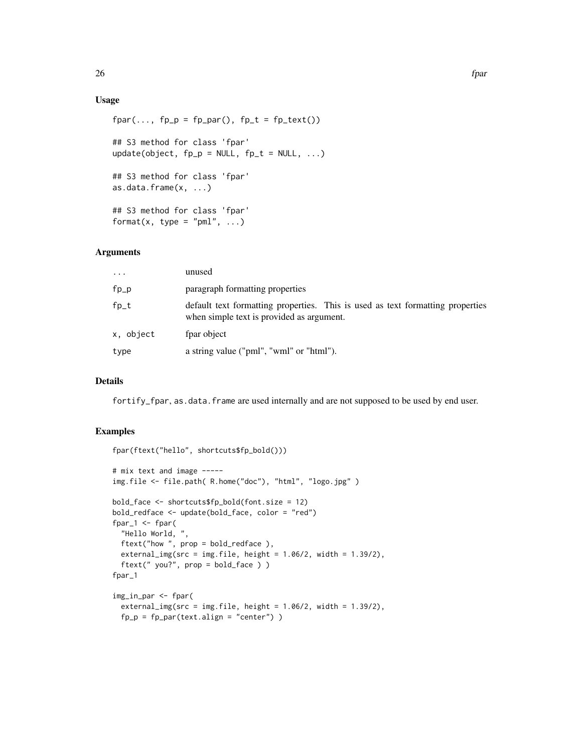### Usage

```
fpar(..., fp_p = fp_par(), fp_t = fp_text()## S3 method for class 'fpar'
update(object, fp_p = NULL, fp_t = NULL, ...)
## S3 method for class 'fpar'
as.data.frame(x, ...)
## S3 method for class 'fpar'
format(x, type = "pml", \dots)
```
### Arguments

| .         | unused                                                                                                                      |
|-----------|-----------------------------------------------------------------------------------------------------------------------------|
| fp_p      | paragraph formatting properties                                                                                             |
| fp_t      | default text formatting properties. This is used as text formatting properties<br>when simple text is provided as argument. |
| x, object | fpar object                                                                                                                 |
| type      | a string value ("pml", "wml" or "html").                                                                                    |

### Details

fortify\_fpar, as.data.frame are used internally and are not supposed to be used by end user.

```
fpar(ftext("hello", shortcuts$fp_bold()))
# mix text and image -----
img.file <- file.path( R.home("doc"), "html", "logo.jpg" )
bold_face <- shortcuts$fp_bold(font.size = 12)
bold_redface <- update(bold_face, color = "red")
fpar_1 <- fpar(
  "Hello World, ",
  ftext("how ", prop = bold_redface ),
  external_img(src = img.file, height = 1.06/2, width = 1.39/2),ftext(" you?", prop = bold_face ) )
fpar_1
img_in_par <- fpar(
  external_img(src = img.file, height = 1.06/2, width = 1.39/2),
  fp_p = fp_par(text.align = "center"))
```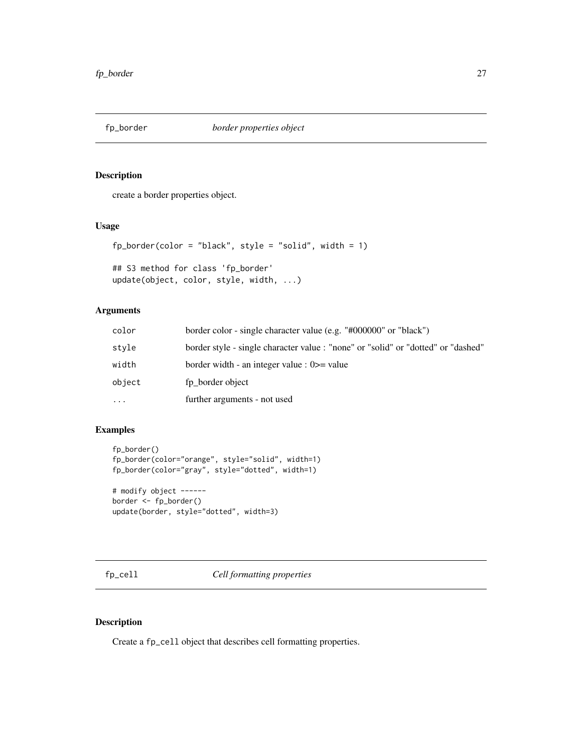<span id="page-26-1"></span><span id="page-26-0"></span>

create a border properties object.

### Usage

```
fp_border(color = "black", style = "solid", width = 1)
```
## S3 method for class 'fp\_border' update(object, color, style, width, ...)

### Arguments

| color  | border color - single character value (e.g. "#000000" or "black")                 |
|--------|-----------------------------------------------------------------------------------|
| style  | border style - single character value : "none" or "solid" or "dotted" or "dashed" |
| width  | border width - an integer value : $0 \ge$ value                                   |
| object | fp border object                                                                  |
| .      | further arguments - not used                                                      |

### Examples

```
fp_border()
fp_border(color="orange", style="solid", width=1)
fp_border(color="gray", style="dotted", width=1)
```

```
# modify object ------
border <- fp_border()
update(border, style="dotted", width=3)
```
fp\_cell *Cell formatting properties*

### Description

Create a fp\_cell object that describes cell formatting properties.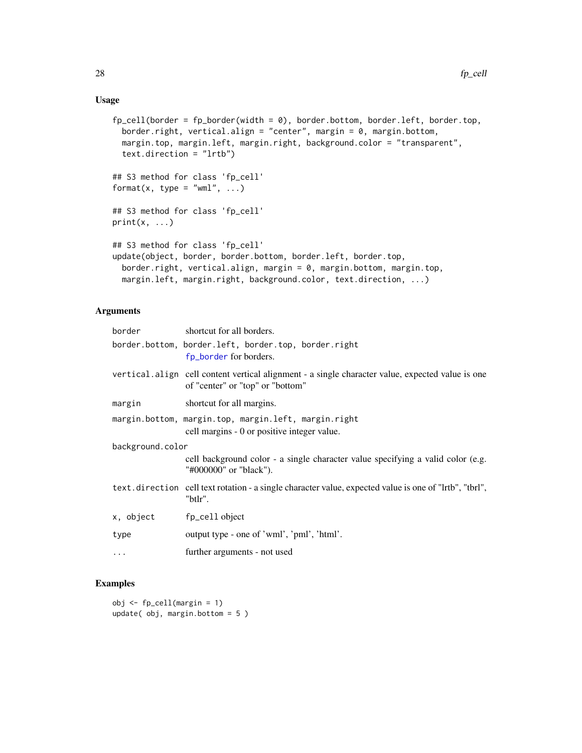### <span id="page-27-0"></span>Usage

```
fp_{cell}(border = fp_{border}(width = 0), border.bottom, border. left, border.top,border.right, vertical.align = "center", margin = 0, margin.bottom,
  margin.top, margin.left, margin.right, background.color = "transparent",
  text.direction = "lrtb")
## S3 method for class 'fp_cell'
format(x, type = "wml", \dots)
## S3 method for class 'fp_cell'
print(x, \ldots)## S3 method for class 'fp_cell'
update(object, border, border.bottom, border.left, border.top,
 border.right, vertical.align, margin = 0, margin.bottom, margin.top,
  margin.left, margin.right, background.color, text.direction, ...)
```
#### Arguments

| border           | shortcut for all borders.                                                                                                            |  |
|------------------|--------------------------------------------------------------------------------------------------------------------------------------|--|
|                  | border.bottom, border.left, border.top, border.right<br>fp_border for borders.                                                       |  |
|                  | vertical align cell content vertical alignment - a single character value, expected value is one<br>of "center" or "top" or "bottom" |  |
| margin           | shortcut for all margins.                                                                                                            |  |
|                  | margin.bottom, margin.top, margin.left, margin.right<br>cell margins - 0 or positive integer value.                                  |  |
| background.color |                                                                                                                                      |  |
|                  | cell background color - a single character value specifying a valid color (e.g.<br>"#000000" or "black").                            |  |
|                  | text.direction cell text rotation - a single character value, expected value is one of "lrtb", "tbrl",<br>"btlr".                    |  |
| x, object        | fp_cell object                                                                                                                       |  |
| type             | output type - one of 'wml', 'pml', 'html'.                                                                                           |  |
| $\cdots$         | further arguments - not used                                                                                                         |  |

### Examples

 $obj \leftarrow fp_{cell}$ (margin = 1) update( obj, margin.bottom = 5 )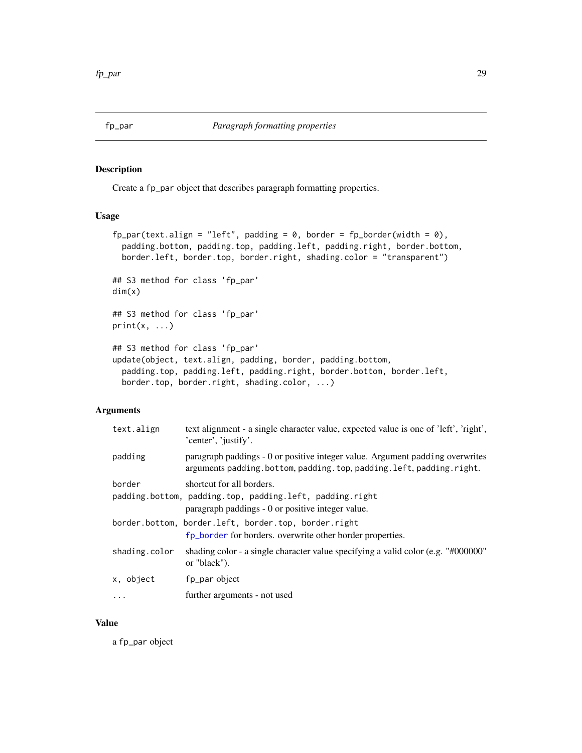<span id="page-28-1"></span><span id="page-28-0"></span>Create a fp\_par object that describes paragraph formatting properties.

#### Usage

```
fp\_par(text.align = "left", padding = 0, border = fp\_border(width = 0),padding.bottom, padding.top, padding.left, padding.right, border.bottom,
 border.left, border.top, border.right, shading.color = "transparent")
## S3 method for class 'fp_par'
dim(x)
## S3 method for class 'fp_par'
print(x, \ldots)## S3 method for class 'fp_par'
update(object, text.align, padding, border, padding.bottom,
 padding.top, padding.left, padding.right, border.bottom, border.left,
 border.top, border.right, shading.color, ...)
```
### Arguments

| text.align    | text alignment - a single character value, expected value is one of 'left', 'right',<br>'center', 'justify'.                                         |
|---------------|------------------------------------------------------------------------------------------------------------------------------------------------------|
| padding       | paragraph paddings - 0 or positive integer value. Argument padding overwrites<br>arguments padding.bottom, padding.top, padding.left, padding.right. |
| border        | shortcut for all borders.<br>padding.bottom, padding.top, padding.left, padding.right<br>paragraph paddings - 0 or positive integer value.           |
|               | border.bottom, border.left, border.top, border.right<br>fp_border for borders. overwrite other border properties.                                    |
| shading.color | shading color - a single character value specifying a valid color (e.g. $\degree$ #000000 $\degree$ )<br>or "black").                                |
| x, object     | fp_par object                                                                                                                                        |
|               | further arguments - not used                                                                                                                         |
|               |                                                                                                                                                      |

### Value

a fp\_par object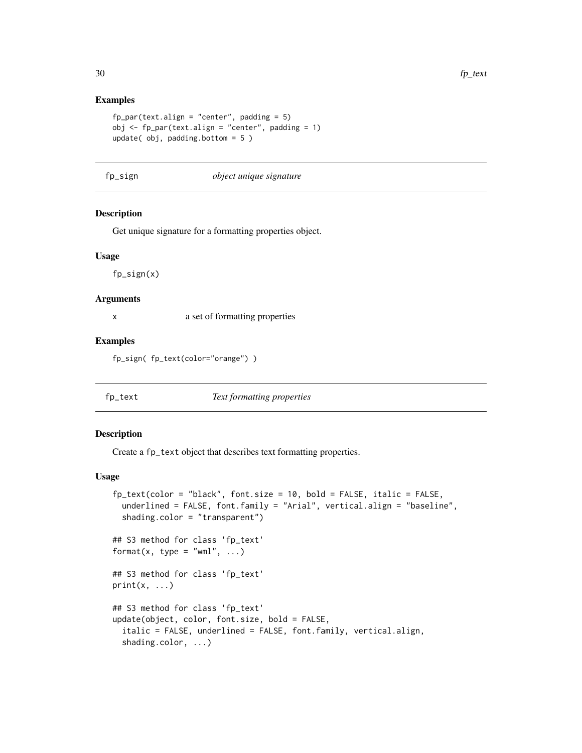#### Examples

```
fp\_par(text.align = "center", padding = 5)obj \leq fp_par(text.align = "center", padding = 1)
update( obj, padding.bottom = 5 )
```
fp\_sign *object unique signature*

### Description

Get unique signature for a formatting properties object.

#### Usage

fp\_sign(x)

#### Arguments

x a set of formatting properties

#### Examples

fp\_sign( fp\_text(color="orange") )

<span id="page-29-1"></span>

fp\_text *Text formatting properties*

#### Description

Create a fp\_text object that describes text formatting properties.

#### Usage

```
fp_text(color = "black", font.size = 10, bold = FALSE, italic = FALSE,
  underlined = FALSE, font.family = "Arial", vertical.align = "baseline",
  shading.color = "transparent")
## S3 method for class 'fp_text'
format(x, type = "wml", \dots)
## S3 method for class 'fp_text'
print(x, \ldots)## S3 method for class 'fp_text'
update(object, color, font.size, bold = FALSE,
  italic = FALSE, underlined = FALSE, font.family, vertical.align,
  shading.color, ...)
```
<span id="page-29-0"></span>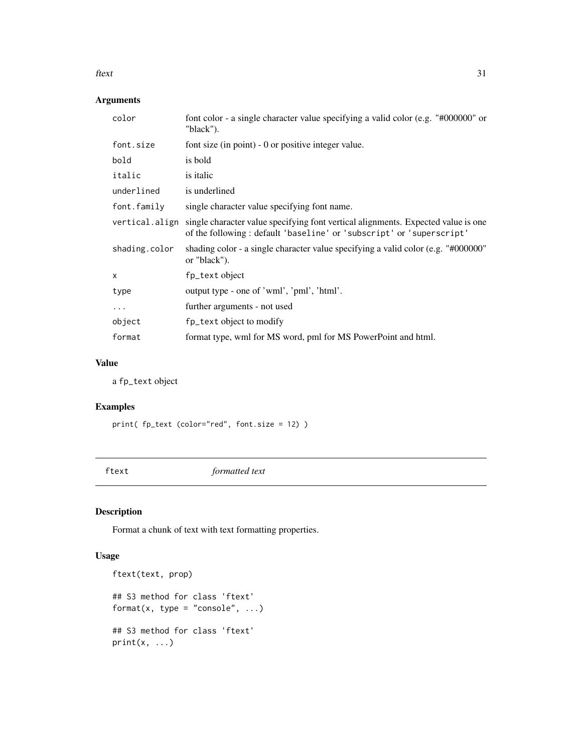#### <span id="page-30-0"></span>ftext 31

### Arguments

| color                     | font color - a single character value specifying a valid color (e.g. "#000000" or<br>"black").                                                            |
|---------------------------|-----------------------------------------------------------------------------------------------------------------------------------------------------------|
| font.size                 | font size (in point) $-0$ or positive integer value.                                                                                                      |
| bold                      | is bold                                                                                                                                                   |
| italic                    | is italic                                                                                                                                                 |
| underlined                | is underlined                                                                                                                                             |
| font.family               | single character value specifying font name.                                                                                                              |
| vertical.align            | single character value specifying font vertical alignments. Expected value is one<br>of the following: default 'baseline' or 'subscript' or 'superscript' |
| shading.color             | shading color - a single character value specifying a valid color (e.g. $\degree$ #000000 $\degree$ )<br>or "black").                                     |
| $\boldsymbol{\mathsf{x}}$ | fp_text object                                                                                                                                            |
| type                      | output type - one of 'wml', 'pml', 'html'.                                                                                                                |
| $\cdots$                  | further arguments - not used                                                                                                                              |
| object                    | fp_text object to modify                                                                                                                                  |
| format                    | format type, wml for MS word, pml for MS PowerPoint and html.                                                                                             |

### Value

a fp\_text object

### Examples

```
print( fp_text (color="red", font.size = 12) )
```
ftext *formatted text*

### Description

Format a chunk of text with text formatting properties.

### Usage

```
ftext(text, prop)
## S3 method for class 'ftext'
format(x, type = "console", \ldots)
## S3 method for class 'ftext'
print(x, \ldots)
```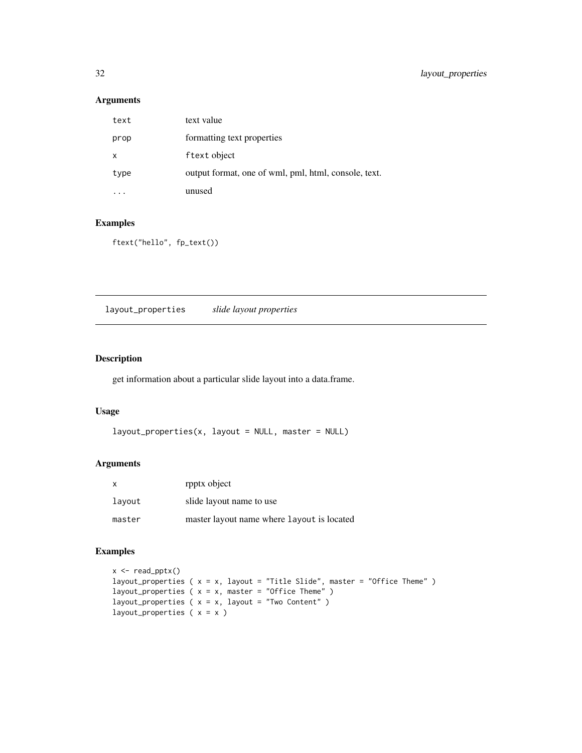### Arguments

| text | text value                                           |
|------|------------------------------------------------------|
| prop | formatting text properties                           |
| X    | f text object                                        |
| type | output format, one of wml, pml, html, console, text. |
|      | unused                                               |

### Examples

```
ftext("hello", fp_text())
```
layout\_properties *slide layout properties*

### Description

get information about a particular slide layout into a data.frame.

### Usage

```
layout\_properties(x, layout = NULL, master = NULL)
```
### Arguments

| $\mathsf{X}$ | rpptx object                               |
|--------------|--------------------------------------------|
| lavout       | slide layout name to use                   |
| master       | master layout name where layout is located |

```
x \leq -\text{read\_pptx}()layout_properties ( x = x, layout = "Title Slide", master = "Office Theme" )
layout_properties (x = x, master = "Office Theme")
layout_properties (x = x, layout = "Two Content")
layout_properties (x = x)
```
<span id="page-31-0"></span>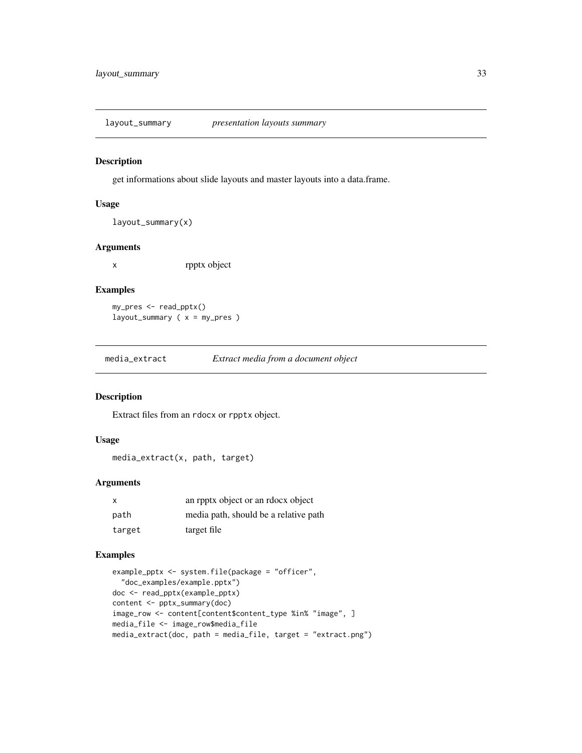<span id="page-32-0"></span>layout\_summary *presentation layouts summary*

### Description

get informations about slide layouts and master layouts into a data.frame.

### Usage

layout\_summary(x)

#### Arguments

x rpptx object

### Examples

my\_pres <- read\_pptx() layout\_summary ( x = my\_pres )

media\_extract *Extract media from a document object*

### Description

Extract files from an rdocx or rpptx object.

### Usage

media\_extract(x, path, target)

### Arguments

| $\mathsf{x}$ | an report object or an relocx object  |
|--------------|---------------------------------------|
| path         | media path, should be a relative path |
| target       | target file                           |

```
example_pptx <- system.file(package = "officer",
  "doc_examples/example.pptx")
doc <- read_pptx(example_pptx)
content <- pptx_summary(doc)
image_row <- content[content$content_type %in% "image", ]
media_file <- image_row$media_file
media_extract(doc, path = media_file, target = "extract.png")
```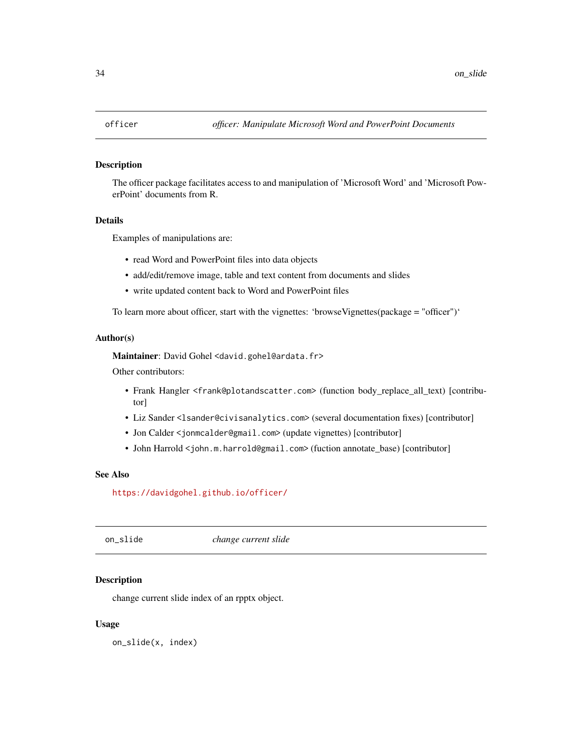<span id="page-33-0"></span>

The officer package facilitates access to and manipulation of 'Microsoft Word' and 'Microsoft PowerPoint' documents from R.

### Details

Examples of manipulations are:

- read Word and PowerPoint files into data objects
- add/edit/remove image, table and text content from documents and slides
- write updated content back to Word and PowerPoint files

To learn more about officer, start with the vignettes: 'browseVignettes(package = "officer")'

#### Author(s)

Maintainer: David Gohel <david.gohel@ardata.fr>

Other contributors:

- Frank Hangler <frank@plotandscatter.com> (function body\_replace\_all\_text) [contributor]
- Liz Sander <lsander@civisanalytics.com> (several documentation fixes) [contributor]
- Jon Calder <jonmcalder@gmail.com> (update vignettes) [contributor]
- John Harrold <john.m.harrold@gmail.com> (fuction annotate\_base) [contributor]

#### See Also

<https://davidgohel.github.io/officer/>

on\_slide *change current slide*

### Description

change current slide index of an rpptx object.

#### Usage

on\_slide(x, index)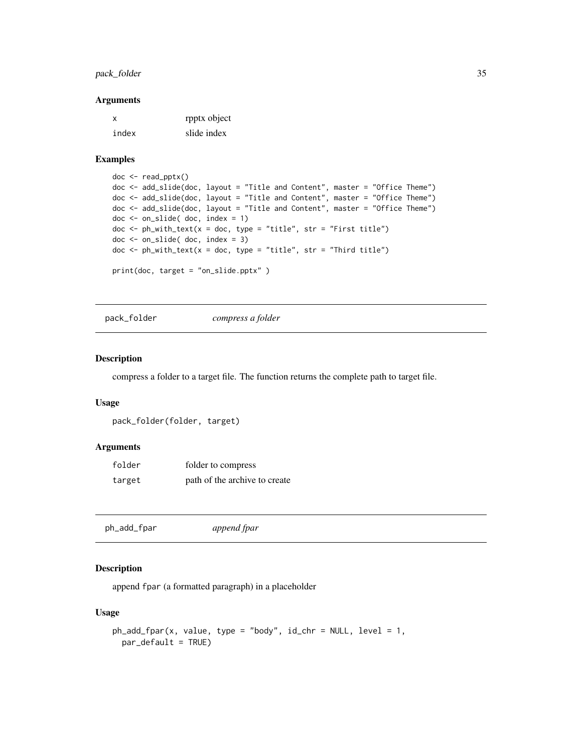### <span id="page-34-0"></span>pack\_folder 35

#### Arguments

| x     | rpptx object |
|-------|--------------|
| index | slide index  |

#### Examples

```
doc <- read_pptx()
doc <- add_slide(doc, layout = "Title and Content", master = "Office Theme")
doc <- add_slide(doc, layout = "Title and Content", master = "Office Theme")
doc <- add_slide(doc, layout = "Title and Content", master = "Office Theme")
doc <- on_slide( doc, index = 1)
doc \le ph_with_text(x = doc, type = "title", str = "First title")
doc <- on_slide( doc, index = 3)
doc \le ph_with_text(x = doc, type = "title", str = "Third title")
print(doc, target = "on_slide.pptx" )
```
pack\_folder *compress a folder*

#### Description

compress a folder to a target file. The function returns the complete path to target file.

### Usage

```
pack_folder(folder, target)
```
#### Arguments

| folder | folder to compress            |
|--------|-------------------------------|
| target | path of the archive to create |

ph\_add\_fpar *append fpar*

### Description

append fpar (a formatted paragraph) in a placeholder

### Usage

```
ph_add_fpar(x, value, type = "body", id_chr = NULL, level = 1,
 par_default = TRUE)
```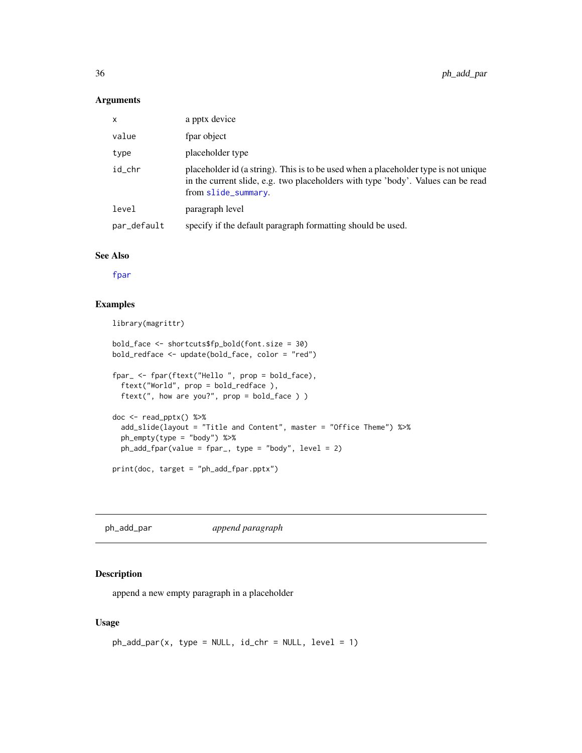#### <span id="page-35-0"></span>Arguments

| x           | a pptx device                                                                                                                                                                                  |
|-------------|------------------------------------------------------------------------------------------------------------------------------------------------------------------------------------------------|
| value       | fpar object                                                                                                                                                                                    |
| type        | placeholder type                                                                                                                                                                               |
| id_chr      | placeholder id (a string). This is to be used when a placeholder type is not unique<br>in the current slide, e.g. two placeholders with type 'body'. Values can be read<br>from slide_summary. |
| level       | paragraph level                                                                                                                                                                                |
| par_default | specify if the default paragraph formatting should be used.                                                                                                                                    |

### See Also

[fpar](#page-24-1)

### Examples

```
library(magrittr)
```

```
bold_face <- shortcuts$fp_bold(font.size = 30)
bold_redface <- update(bold_face, color = "red")
fpar_ <- fpar(ftext("Hello ", prop = bold_face),
  ftext("World", prop = bold_redface ),
  ftext(", how are you?", prop = bold_face ) )
doc <- read_pptx() %>%
  add_slide(layout = "Title and Content", master = "Office Theme") %>%
  ph_empty(type = "body") %>%
  ph_add_fpar(value = fpar_, type = "body", level = 2)
print(doc, target = "ph_add_fpar.pptx")
```
ph\_add\_par *append paragraph*

### Description

append a new empty paragraph in a placeholder

### Usage

```
ph\_add\_par(x, type = NULL, id\_chr = NULL, level = 1)
```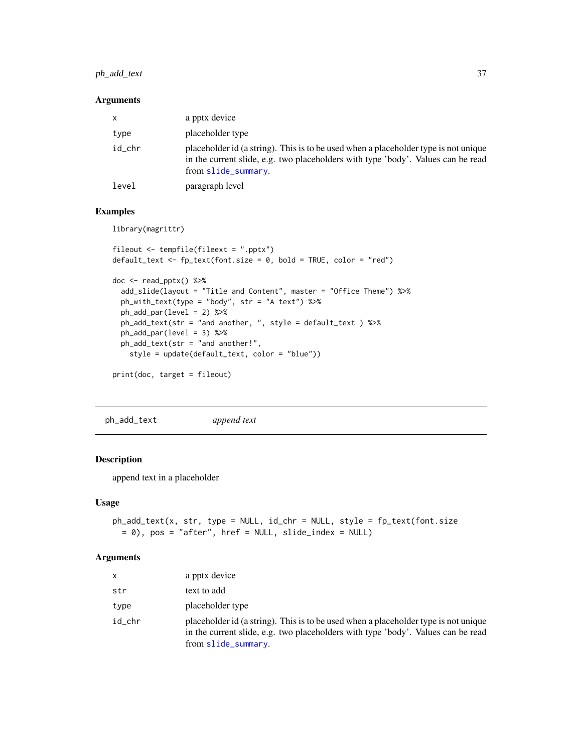### <span id="page-36-0"></span>ph\_add\_text 37

### Arguments

| X      | a pptx device                                                                                                                                                                                  |
|--------|------------------------------------------------------------------------------------------------------------------------------------------------------------------------------------------------|
| type   | placeholder type                                                                                                                                                                               |
| id chr | placeholder id (a string). This is to be used when a placeholder type is not unique<br>in the current slide, e.g. two placeholders with type 'body'. Values can be read<br>from slide_summary. |
| level  | paragraph level                                                                                                                                                                                |

### Examples

library(magrittr)

```
fileout <- tempfile(fileext = ".pptx")
default_test \leftarrow fp_test(font.size = 0, bold = TRUE, color = "red")doc <- read_pptx() %>%
  add_slide(layout = "Title and Content", master = "Office Theme") %>%
  ph_with_text(type = "body", str = "A text") %>%
  ph_add_par(level = 2) %>%
  ph_add_text(str = "and another, ", style = default_text ) %>%
  ph_add_par(level = 3) %>%
  ph_add_text(str = "and another!",
   style = update(default_text, color = "blue"))
print(doc, target = fileout)
```
ph\_add\_text *append text*

### Description

append text in a placeholder

### Usage

```
ph_add_text(x, str, type = NULL, id_chr = NULL, style = fp_text(font.size
 = 0), pos = "after", href = NULL, slide_index = NULL)
```
#### Arguments

| $\mathsf{x}$ | a pptx device                                                                                                                                                                                  |
|--------------|------------------------------------------------------------------------------------------------------------------------------------------------------------------------------------------------|
| str          | text to add                                                                                                                                                                                    |
| type         | placeholder type                                                                                                                                                                               |
| id chr       | placeholder id (a string). This is to be used when a placeholder type is not unique<br>in the current slide, e.g. two placeholders with type 'body'. Values can be read<br>from slide_summary. |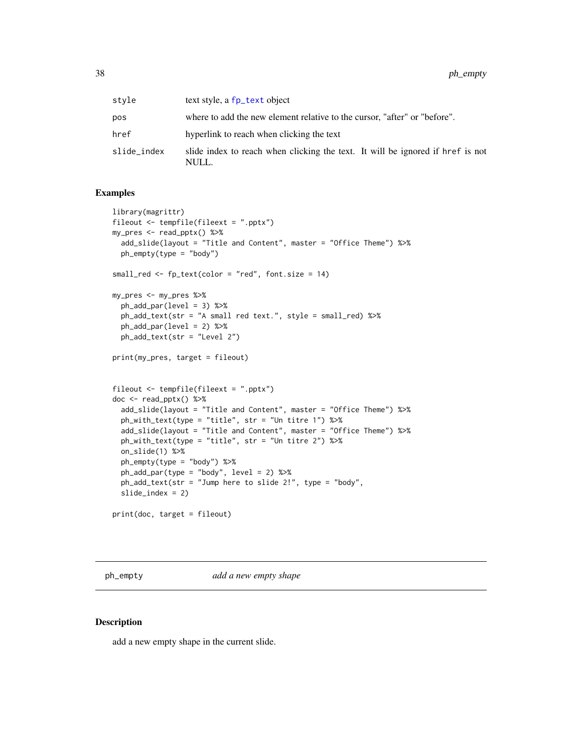<span id="page-37-0"></span>

| stvle       | text style, a fp_text object                                                            |
|-------------|-----------------------------------------------------------------------------------------|
| pos         | where to add the new element relative to the cursor, "after" or "before".               |
| href        | hyperlink to reach when clicking the text                                               |
| slide_index | slide index to reach when clicking the text. It will be ignored if href is not<br>NULL. |

### Examples

```
library(magrittr)
fileout <- tempfile(fileext = ".pptx")
my_pres <- read_pptx() %>%
 add_slide(layout = "Title and Content", master = "Office Theme") %>%
  ph_empty(type = "body")
small_red <- fp_text(color = "red", font.size = 14)
my_pres <- my_pres %>%
  ph_add_par(level = 3) %>%
  ph_add_text(str = "A small red text.", style = small_red) %>%
  ph\_add\_par(level = 2) %>%
  ph_add_text(str = "Level 2")
print(my_pres, target = fileout)
fileout <- tempfile(fileext = ".pptx")
doc \leq read_pptx() %>%
  add_slide(layout = "Title and Content", master = "Office Theme") %>%
  ph_with_text(type = "title", str = "Un titre 1") %>%
  add_slide(layout = "Title and Content", master = "Office Theme") %>%
  ph_with_text(type = "title", str = "Un titre 2") %>%
  on_slide(1) %>%
  ph_empty(type = "body") %>%
  ph_add_par(type = "body", level = 2) %>%
  ph_add_text(str = "Jump here to slide 2!", type = "body",
  slide\_index = 2)print(doc, target = fileout)
```
ph\_empty *add a new empty shape*

### Description

add a new empty shape in the current slide.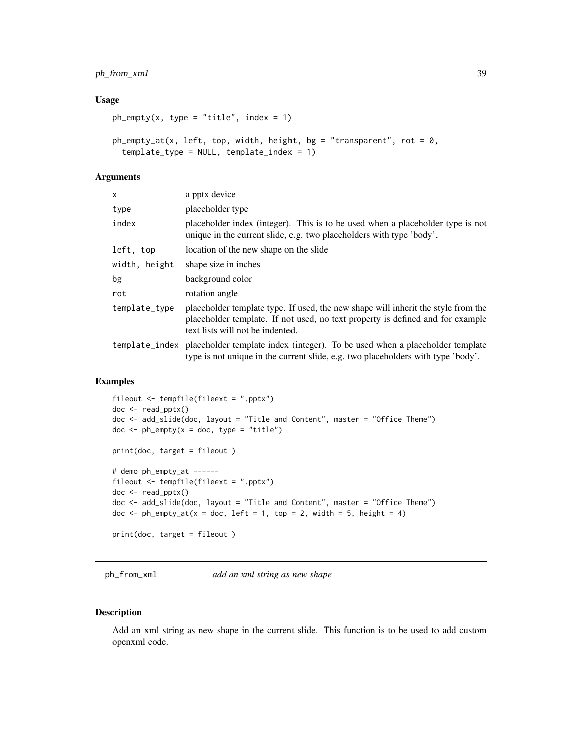### <span id="page-38-0"></span>ph\_from\_xml 39

#### Usage

```
ph\_empty(x, type = "title", index = 1)
```

```
ph\_empty\_at(x, left, top, width, height, bg = "transparent", rot = 0,template_type = NULL, template_index = 1)
```
### Arguments

| x             | a pptx device                                                                                                                                                                                           |
|---------------|---------------------------------------------------------------------------------------------------------------------------------------------------------------------------------------------------------|
| type          | placeholder type                                                                                                                                                                                        |
| index         | placeholder index (integer). This is to be used when a placeholder type is not<br>unique in the current slide, e.g. two placeholders with type 'body'.                                                  |
| left, top     | location of the new shape on the slide                                                                                                                                                                  |
| width, height | shape size in inches                                                                                                                                                                                    |
| bg            | background color                                                                                                                                                                                        |
| rot           | rotation angle                                                                                                                                                                                          |
| template_type | placeholder template type. If used, the new shape will inherit the style from the<br>placeholder template. If not used, no text property is defined and for example<br>text lists will not be indented. |
|               | template_index placeholder template index (integer). To be used when a placeholder template<br>type is not unique in the current slide, e.g. two placeholders with type 'body'.                         |

### Examples

```
fileout <- tempfile(fileext = ".pptx")
doc <- read_pptx()
doc <- add_slide(doc, layout = "Title and Content", master = "Office Theme")
doc \le - ph_empty(x = doc, type = "title")
print(doc, target = fileout )
# demo ph_empty_at ------
fileout <- tempfile(fileext = ".pptx")
doc <- read_pptx()
doc <- add_slide(doc, layout = "Title and Content", master = "Office Theme")
doc \le ph_empty_at(x = doc, left = 1, top = 2, width = 5, height = 4)
print(doc, target = fileout )
```
ph\_from\_xml *add an xml string as new shape*

#### Description

Add an xml string as new shape in the current slide. This function is to be used to add custom openxml code.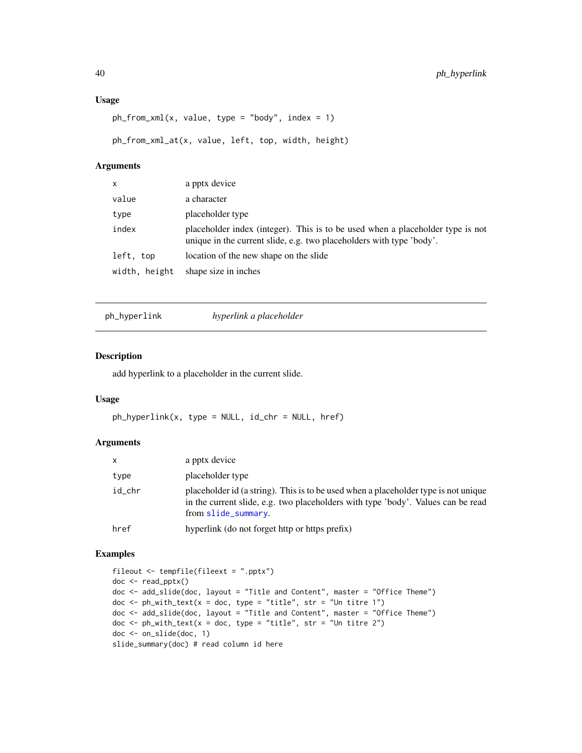### <span id="page-39-0"></span>Usage

```
ph_from\_xml(x, value, type = "body", index = 1)
```
ph\_from\_xml\_at(x, value, left, top, width, height)

#### Arguments

| $\mathsf{x}$  | a pptx device                                                                                                                                          |
|---------------|--------------------------------------------------------------------------------------------------------------------------------------------------------|
| value         | a character                                                                                                                                            |
| type          | placeholder type                                                                                                                                       |
| index         | placeholder index (integer). This is to be used when a placeholder type is not<br>unique in the current slide, e.g. two placeholders with type 'body'. |
| left, top     | location of the new shape on the slide                                                                                                                 |
| width, height | shape size in inches                                                                                                                                   |

ph\_hyperlink *hyperlink a placeholder*

### Description

add hyperlink to a placeholder in the current slide.

#### Usage

ph\_hyperlink(x, type = NULL, id\_chr = NULL, href)

### Arguments

| X      | a pptx device                                                                                                                                                                                  |
|--------|------------------------------------------------------------------------------------------------------------------------------------------------------------------------------------------------|
| type   | placeholder type                                                                                                                                                                               |
| id chr | placeholder id (a string). This is to be used when a placeholder type is not unique<br>in the current slide, e.g. two placeholders with type 'body'. Values can be read<br>from slide_summary. |
| href   | hyperlink (do not forget http or https prefix)                                                                                                                                                 |

```
fileout <- tempfile(fileext = ".pptx")
doc <- read_pptx()
doc <- add_slide(doc, layout = "Title and Content", master = "Office Theme")
doc \le ph_with_text(x = doc, type = "title", str = "Un titre 1")
doc <- add_slide(doc, layout = "Title and Content", master = "Office Theme")
doc \le ph_with_text(x = doc, type = "title", str = "Un titre 2")
doc <- on_slide(doc, 1)
slide_summary(doc) # read column id here
```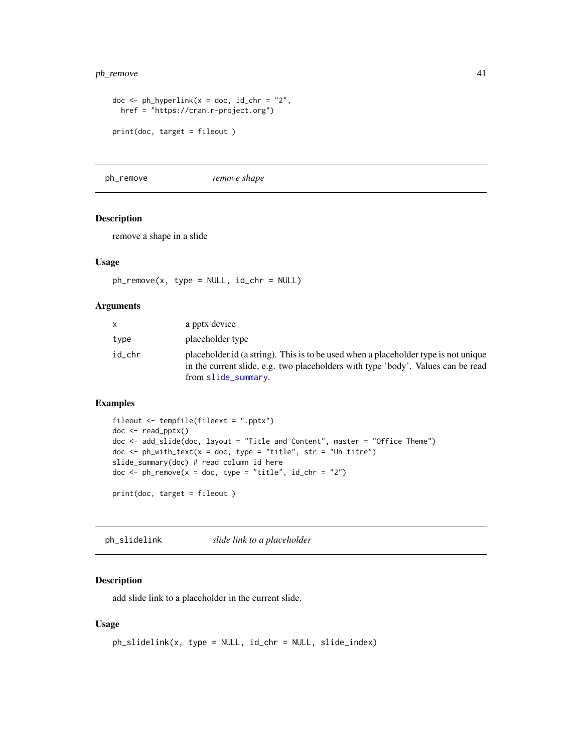### <span id="page-40-0"></span>ph\_remove 41

```
doc \leq ph_hyperlink(x = doc, id_chr = "2",
 href = "https://cran.r-project.org")
print(doc, target = fileout )
```
ph\_remove *remove shape*

### Description

remove a shape in a slide

### Usage

 $ph$ \_remove(x, type = NULL, id\_chr = NULL)

#### Arguments

| x.     | a pptx device                                                                                                                                                                                  |
|--------|------------------------------------------------------------------------------------------------------------------------------------------------------------------------------------------------|
| type   | placeholder type                                                                                                                                                                               |
| id chr | placeholder id (a string). This is to be used when a placeholder type is not unique<br>in the current slide, e.g. two placeholders with type 'body'. Values can be read<br>from slide_summary. |

### Examples

```
fileout <- tempfile(fileext = ".pptx")
doc <- read_pptx()
doc <- add_slide(doc, layout = "Title and Content", master = "Office Theme")
doc \le ph_with_text(x = doc, type = "title", str = "Un titre")
slide_summary(doc) # read column id here
doc \le ph_remove(x = doc, type = "title", id_chr = "2")
print(doc, target = fileout )
```
ph\_slidelink *slide link to a placeholder*

### Description

add slide link to a placeholder in the current slide.

#### Usage

```
ph_slidelink(x, type = NULL, id_chr = NULL, slide_index)
```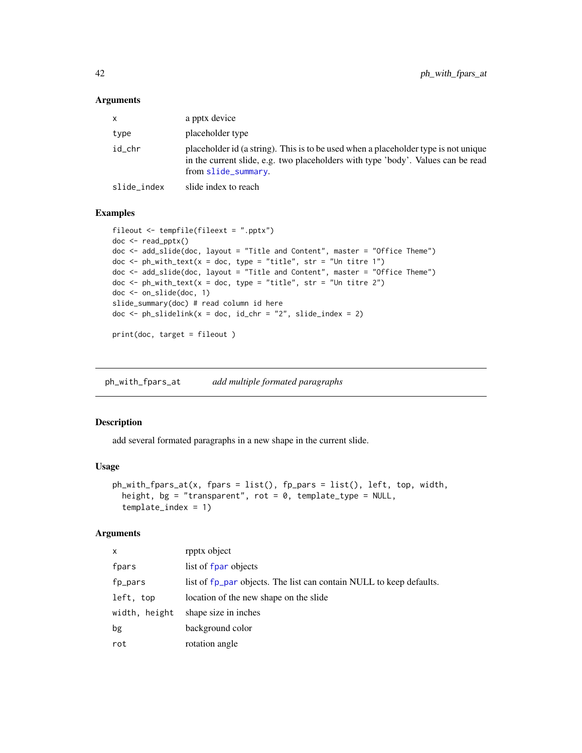#### <span id="page-41-0"></span>**Arguments**

| $\mathsf{x}$ | a pptx device                                                                                                                                                                                  |
|--------------|------------------------------------------------------------------------------------------------------------------------------------------------------------------------------------------------|
| type         | placeholder type                                                                                                                                                                               |
| id chr       | placeholder id (a string). This is to be used when a placeholder type is not unique<br>in the current slide, e.g. two placeholders with type 'body'. Values can be read<br>from slide_summary. |
| slide_index  | slide index to reach                                                                                                                                                                           |

#### Examples

```
fileout <- tempfile(fileext = ".pptx")
doc <- read_pptx()
doc <- add_slide(doc, layout = "Title and Content", master = "Office Theme")
doc \le ph_with_text(x = doc, type = "title", str = "Un titre 1")
doc <- add_slide(doc, layout = "Title and Content", master = "Office Theme")
doc \le ph_with_text(x = doc, type = "title", str = "Un titre 2")
doc <- on_slide(doc, 1)
slide_summary(doc) # read column id here
doc \le ph_slidelink(x = doc, id_chr = "2", slide_index = 2)
```
print(doc, target = fileout )

ph\_with\_fpars\_at *add multiple formated paragraphs*

### Description

add several formated paragraphs in a new shape in the current slide.

### Usage

```
ph_with_fpars_at(x, fpars = list(), fp_pars = list(), left, top, width,
  height, bg = "transparent", rot = 0, template_type = NULL,template_index = 1)
```
### Arguments

| $\times$         | rpptx object                                                        |
|------------------|---------------------------------------------------------------------|
| fpars            | list of fpar objects                                                |
| fp_pars          | list of fp_par objects. The list can contain NULL to keep defaults. |
| left, top        | location of the new shape on the slide                              |
| width.<br>height | shape size in inches                                                |
| bg               | background color                                                    |
| rot              | rotation angle                                                      |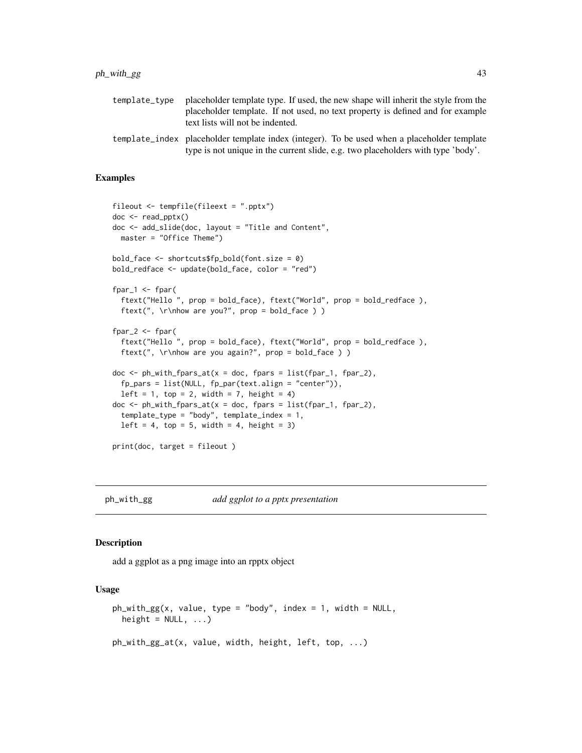### <span id="page-42-0"></span> $ph\_with\_gg$  43

| template tvpe | placeholder template type. If used, the new shape will inherit the style from the<br>placeholder template. If not used, no text property is defined and for example<br>text lists will not be indented. |
|---------------|---------------------------------------------------------------------------------------------------------------------------------------------------------------------------------------------------------|
|               | template_index placeholder template index (integer). To be used when a placeholder template<br>type is not unique in the current slide, e.g. two placeholders with type 'body'.                         |

### Examples

```
fileout <- tempfile(fileext = ".pptx")
doc <- read_pptx()
doc <- add_slide(doc, layout = "Title and Content",
 master = "Office Theme")
bold_face <- shortcuts$fp_bold(font.size = 0)
bold_redface <- update(bold_face, color = "red")
fpar1 \le fpar(ftext("Hello ", prop = bold_face), ftext("World", prop = bold_redface ),
  ftext(", \rho are you?", prop = bold_face ) )
fpar_2 <- fpar(
  ftext("Hello ", prop = bold_face), ftext("World", prop = bold_redface ),
  ftext(", \r\nhow are you again?", prop = bold_face ) )
doc \le ph_with_fpars_at(x = doc, fpars = list(fpar_1, fpar_2),
  fp\_pars = list(NULL, fp\_par(text.align = "center")),
  left = 1, top = 2, width = 7, height = 4)
doc \le ph_with_fpars_at(x = doc, fpars = list(fpar_1, fpar_2),
  template_type = "body", template_index = 1,
  left = 4, top = 5, width = 4, height = 3)
print(doc, target = fileout )
```
ph\_with\_gg *add ggplot to a pptx presentation*

#### Description

add a ggplot as a png image into an rpptx object

#### Usage

```
ph_with_gg(x, value, type = "body", index = 1, width = NULL,height = NULL, ...)ph_with_gg_at(x, value, width, height, left, top, ...)
```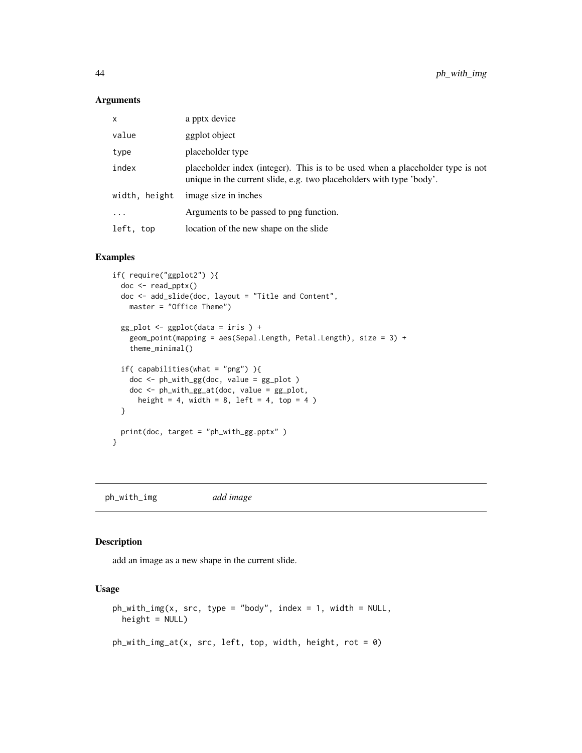#### <span id="page-43-0"></span>Arguments

| x             | a pptx device                                                                                                                                          |
|---------------|--------------------------------------------------------------------------------------------------------------------------------------------------------|
| value         | ggplot object                                                                                                                                          |
| type          | placeholder type                                                                                                                                       |
| index         | placeholder index (integer). This is to be used when a placeholder type is not<br>unique in the current slide, e.g. two placeholders with type 'body'. |
| width, height | image size in inches                                                                                                                                   |
| $\cdot$       | Arguments to be passed to png function.                                                                                                                |
| left, top     | location of the new shape on the slide                                                                                                                 |

### Examples

```
if( require("ggplot2") ){
 doc <- read_pptx()
 doc <- add_slide(doc, layout = "Title and Content",
   master = "Office Theme")
 gg_plot <- ggplot(data = iris ) +
   geom_point(mapping = aes(Sepal.Length, Petal.Length), size = 3) +
   theme_minimal()
 if( capabilities(what = "png") ){
   doc <- ph_with_gg(doc, value = gg_plot )
   doc <- ph_with_gg_at(doc, value = gg_plot,
     height = 4, width = 8, left = 4, top = 4)
 }
 print(doc, target = "ph_with_gg.pptx" )
}
```
ph\_with\_img *add image*

#### Description

add an image as a new shape in the current slide.

#### Usage

```
ph_with_img(x, src, type = "body", index = 1, width = NULL,
 height = NULL)ph\_with\_img\_at(x, src, left, top, width, height, rot = 0)
```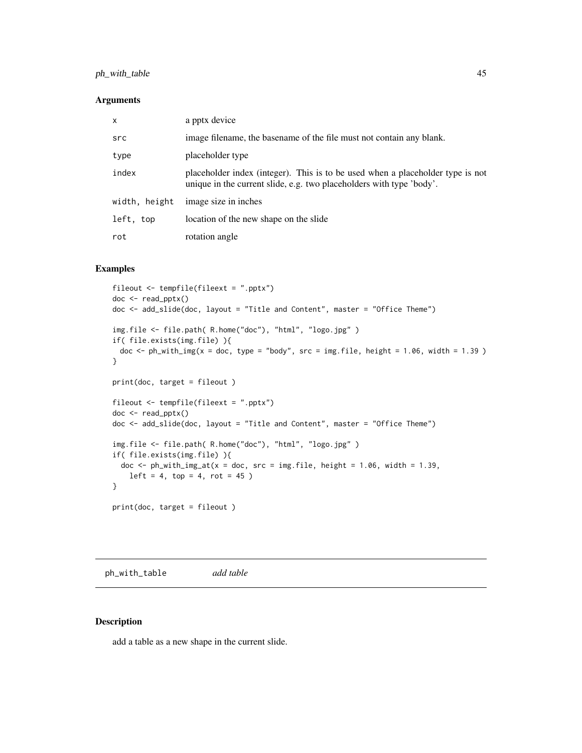### <span id="page-44-0"></span>ph\_with\_table 45

#### Arguments

| $\mathsf{x}$  | a pptx device                                                                                                                                          |
|---------------|--------------------------------------------------------------------------------------------------------------------------------------------------------|
| src           | image filename, the basename of the file must not contain any blank.                                                                                   |
| type          | placeholder type                                                                                                                                       |
| index         | placeholder index (integer). This is to be used when a placeholder type is not<br>unique in the current slide, e.g. two placeholders with type 'body'. |
| width, height | image size in inches                                                                                                                                   |
| left, top     | location of the new shape on the slide                                                                                                                 |
| rot           | rotation angle                                                                                                                                         |

#### Examples

```
fileout <- tempfile(fileext = ".pptx")
doc <- read_pptx()
doc <- add_slide(doc, layout = "Title and Content", master = "Office Theme")
img.file <- file.path( R.home("doc"), "html", "logo.jpg" )
if( file.exists(img.file) ){
 doc \le ph_with_img(x = doc, type = "body", src = img.file, height = 1.06, width = 1.39 )
}
print(doc, target = fileout )
fileout <- tempfile(fileext = ".pptx")
doc <- read_pptx()
doc <- add_slide(doc, layout = "Title and Content", master = "Office Theme")
img.file <- file.path( R.home("doc"), "html", "logo.jpg" )
if( file.exists(img.file) ){
  doc \le ph_with_img_at(x = doc, src = img.file, height = 1.06, width = 1.39,
    left = 4, top = 4, rot = 45)
}
print(doc, target = fileout )
```
ph\_with\_table *add table*

### Description

add a table as a new shape in the current slide.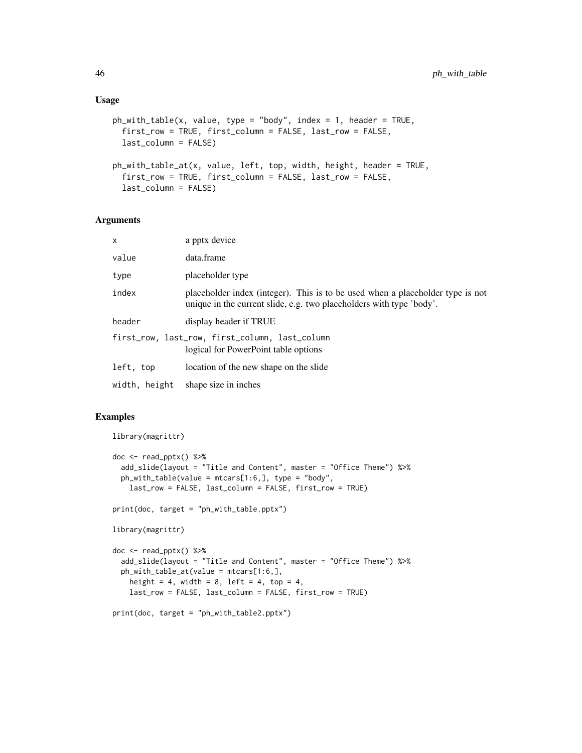#### Usage

```
ph_with_table(x, value, type = "body", index = 1, header = TRUE,
  first_row = TRUE, first_column = FALSE, last_row = FALSE,
  last_column = FALSE)
ph_with_table_at(x, value, left, top, width, height, header = TRUE,
  first_row = TRUE, first_column = FALSE, last_row = FALSE,
  last_column = FALSE)
```
#### Arguments

| x             | a pptx device                                                                                                                                          |
|---------------|--------------------------------------------------------------------------------------------------------------------------------------------------------|
| value         | data.frame                                                                                                                                             |
| type          | placeholder type                                                                                                                                       |
| index         | placeholder index (integer). This is to be used when a placeholder type is not<br>unique in the current slide, e.g. two placeholders with type 'body'. |
| header        | display header if TRUE                                                                                                                                 |
|               | first_row, last_row, first_column, last_column<br>logical for PowerPoint table options                                                                 |
| left, top     | location of the new shape on the slide                                                                                                                 |
| width, height | shape size in inches                                                                                                                                   |

#### Examples

```
library(magrittr)
```

```
doc \le read_pptx() %>%
  add_slide(layout = "Title and Content", master = "Office Theme") %>%
  ph_with_table(value = mtcars[1:6,], type = "body",
   last_row = FALSE, last_column = FALSE, first_row = TRUE)
print(doc, target = "ph_with_table.pptx")
library(magrittr)
doc <- read_pptx() %>%
  add_slide(layout = "Title and Content", master = "Office Theme") %>%
  ph_with_table_at(value = mtcars[1:6,],
   height = 4, width = 8, left = 4, top = 4,
   last_row = FALSE, last_column = FALSE, first_row = TRUE)
```
print(doc, target = "ph\_with\_table2.pptx")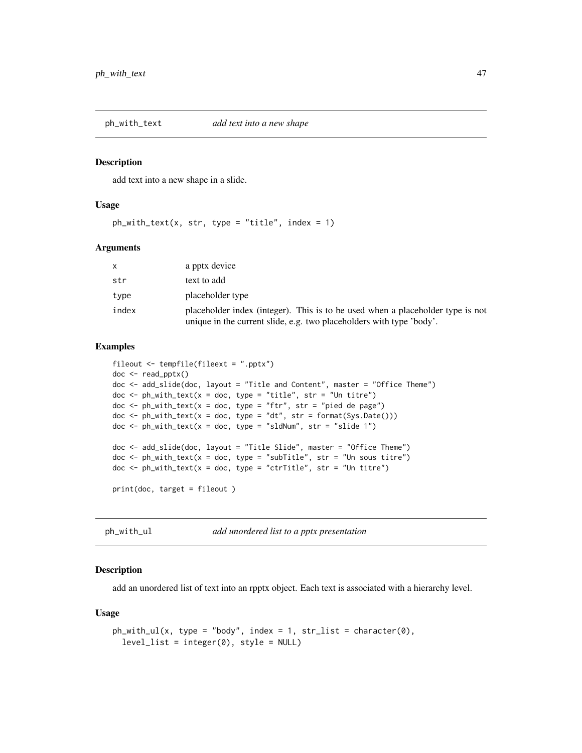<span id="page-46-0"></span>

add text into a new shape in a slide.

#### Usage

 $ph_with\_text(x, str, type = "title", index = 1)$ 

#### Arguments

|       | a pptx device                                                                                                                                          |
|-------|--------------------------------------------------------------------------------------------------------------------------------------------------------|
| str   | text to add                                                                                                                                            |
| type  | placeholder type                                                                                                                                       |
| index | placeholder index (integer). This is to be used when a placeholder type is not<br>unique in the current slide, e.g. two placeholders with type 'body'. |

#### Examples

```
fileout <- tempfile(fileext = ".pptx")
doc <- read_pptx()
doc <- add_slide(doc, layout = "Title and Content", master = "Office Theme")
doc \le ph_with_text(x = doc, type = "title", str = "Un titre")
doc <- ph_with_text(x = doc, type = "ftr", str = "pied de page")
doc <- ph_with_text(x = doc, type = "dt", str = format(Sys.Date()))
doc \le ph_with_text(x = doc, type = "sldNum", str = "slide 1")
doc <- add_slide(doc, layout = "Title Slide", master = "Office Theme")
doc \le ph_with_text(x = doc, type = "subTitle", str = "Un sous titre")
doc \le ph_with_text(x = doc, type = "ctrTitle", str = "Un titre")
print(doc, target = fileout )
```
ph\_with\_ul *add unordered list to a pptx presentation*

### Description

add an unordered list of text into an rpptx object. Each text is associated with a hierarchy level.

#### Usage

```
ph\_with\_ul(x, type = "body", index = 1, str\_list = character(0),level_list = integer(0), style = NULL)
```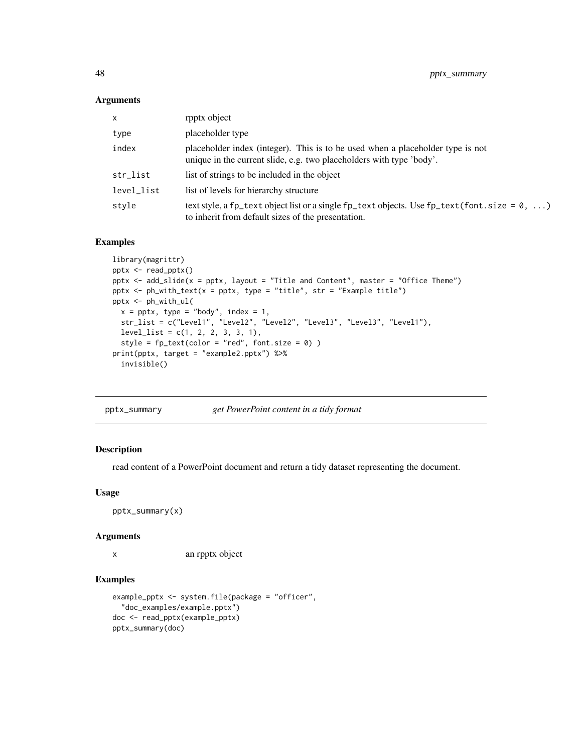### <span id="page-47-0"></span>Arguments

| $\mathsf{x}$ | rpptx object                                                                                                                                                 |
|--------------|--------------------------------------------------------------------------------------------------------------------------------------------------------------|
| type         | placeholder type                                                                                                                                             |
| index        | placeholder index (integer). This is to be used when a placeholder type is not<br>unique in the current slide, e.g. two placeholders with type 'body'.       |
| str_list     | list of strings to be included in the object                                                                                                                 |
| level_list   | list of levels for hierarchy structure                                                                                                                       |
| style        | text style, a fp_text object list or a single fp_text objects. Use fp_text (font. size = $0, \ldots$ )<br>to inherit from default sizes of the presentation. |

### Examples

```
library(magrittr)
pptx <- read_pptx()
pptx <- add_slide(x = pptx, layout = "Title and Content", master = "Office Theme")
pptx \leq ph_with_text(x = pptx, type = "title", str = "Example title")
pptx <- ph_with_ul(
 x = \text{pptx}, \text{ type} = \text{"body", index} = 1,str_list = c("Level1", "Level2", "Level2", "Level3", "Level3", "Level1"),
  level_list = c(1, 2, 2, 3, 3, 1),style = fp\_text(color = "red", font.size = 0))
print(pptx, target = "example2.pptx") %>%
  invisible()
```

| pptx_summary | get PowerPoint content in a tidy format |  |
|--------------|-----------------------------------------|--|
|              |                                         |  |

### Description

read content of a PowerPoint document and return a tidy dataset representing the document.

### Usage

pptx\_summary(x)

#### Arguments

x an rpptx object

```
example_pptx <- system.file(package = "officer",
  "doc_examples/example.pptx")
doc <- read_pptx(example_pptx)
pptx_summary(doc)
```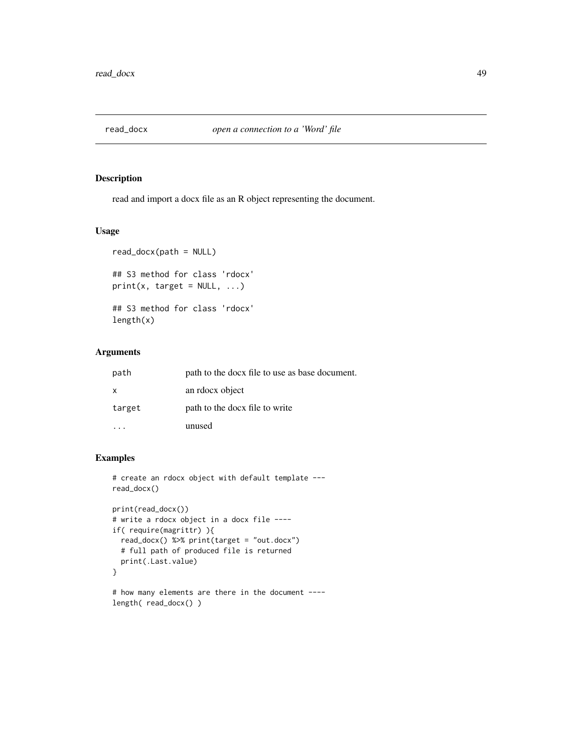<span id="page-48-0"></span>

read and import a docx file as an R object representing the document.

### Usage

```
read_docx(path = NULL)
## S3 method for class 'rdocx'
print(x, target = NULL, ...)## S3 method for class 'rdocx'
length(x)
```
### Arguments

| path         | path to the docx file to use as base document. |
|--------------|------------------------------------------------|
| $\mathsf{x}$ | an rdocx object                                |
| target       | path to the docx file to write                 |
|              | unused                                         |

```
# create an rdocx object with default template ---
read_docx()
```

```
print(read_docx())
# write a rdocx object in a docx file ----
if( require(magrittr) ){
  read_docx() %>% print(target = "out.docx")
  # full path of produced file is returned
  print(.Last.value)
}
```

```
# how many elements are there in the document ----
length( read_docx() )
```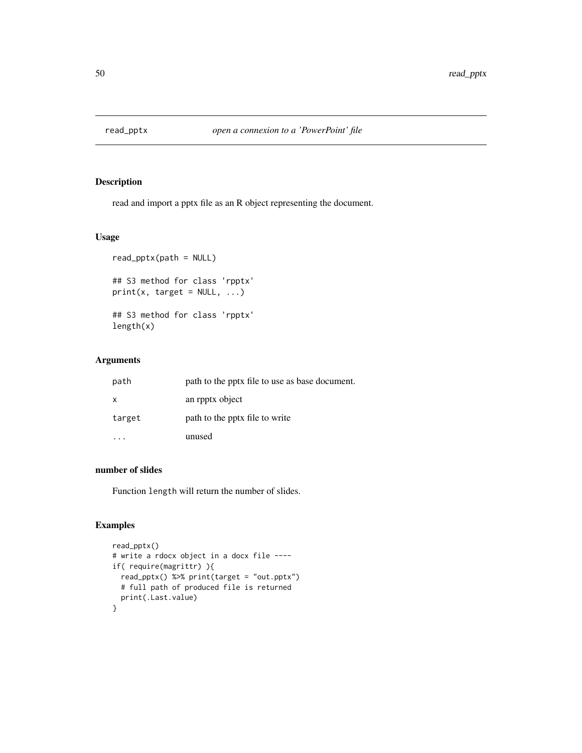<span id="page-49-0"></span>

read and import a pptx file as an R object representing the document.

### Usage

```
read_pptx(path = NULL)
## S3 method for class 'rpptx'
print(x, target = NULL, ...)## S3 method for class 'rpptx'
length(x)
```
### Arguments

| path         | path to the pptx file to use as base document. |
|--------------|------------------------------------------------|
| $\mathsf{X}$ | an rpptx object                                |
| target       | path to the pptx file to write                 |
|              | unused                                         |

### number of slides

Function length will return the number of slides.

```
read_pptx()
# write a rdocx object in a docx file ----
if( require(magrittr) ){
  read_pptx() %>% print(target = "out.pptx")
  # full path of produced file is returned
 print(.Last.value)
}
```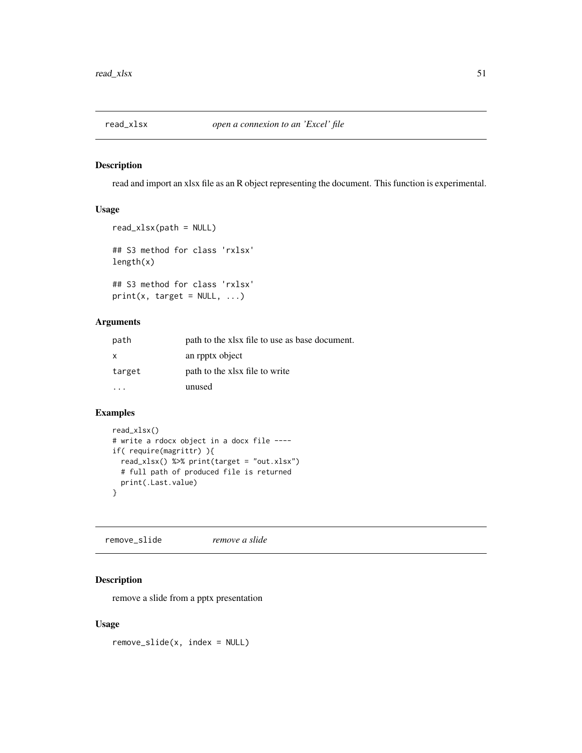<span id="page-50-0"></span>

read and import an xlsx file as an R object representing the document. This function is experimental.

### Usage

```
read_xlsx(path = NULL)## S3 method for class 'rxlsx'
length(x)
## S3 method for class 'rxlsx'
print(x, target = NULL, ...)
```
### Arguments

| path         | path to the xlsx file to use as base document. |
|--------------|------------------------------------------------|
| $\mathsf{X}$ | an rpptx object                                |
| target       | path to the xlsx file to write                 |
|              | unused                                         |

### Examples

```
read_xlsx()
# write a rdocx object in a docx file ----
if( require(magrittr) ){
  read_xlsx() %>% print(target = "out.xlsx")
  # full path of produced file is returned
  print(.Last.value)
}
```
remove\_slide *remove a slide*

### Description

remove a slide from a pptx presentation

### Usage

remove\_slide(x, index = NULL)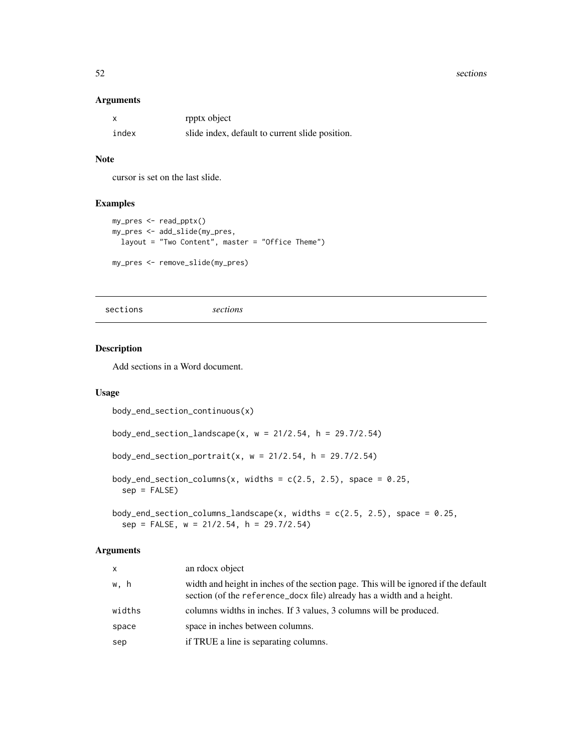#### <span id="page-51-0"></span>52 sections and the sections of the sections of the sections of the sections of the sections of the sections of the sections of the sections of the sections of the sections of the sections of the sections of the sections o

#### Arguments

| X     | rpptx object                                    |
|-------|-------------------------------------------------|
| index | slide index, default to current slide position. |

### Note

cursor is set on the last slide.

### Examples

```
my_pres <- read_pptx()
my_pres <- add_slide(my_pres,
 layout = "Two Content", master = "Office Theme")
my_pres <- remove_slide(my_pres)
```
sections *sections*

### Description

Add sections in a Word document.

### Usage

```
body_end_section_continuous(x)
body_end_section_landscape(x, w = 21/2.54, h = 29.7/2.54)
body_end_section_portrait(x, w = 21/2.54, h = 29.7/2.54)
body_end_section_columns(x, widths = c(2.5, 2.5), space = 0.25,
  sep = FALSE)
body_end_section_columns_landscape(x, widths = c(2.5, 2.5), space = 0.25,
 sep = FALSE, w = 21/2.54, h = 29.7/2.54)
```
### Arguments

| x      | an rdocx object                                                                                                                                               |
|--------|---------------------------------------------------------------------------------------------------------------------------------------------------------------|
| w.h    | width and height in inches of the section page. This will be ignored if the default<br>section (of the reference_docx file) already has a width and a height. |
| widths | columns widths in inches. If 3 values, 3 columns will be produced.                                                                                            |
| space  | space in inches between columns.                                                                                                                              |
| sep    | if TRUE a line is separating columns.                                                                                                                         |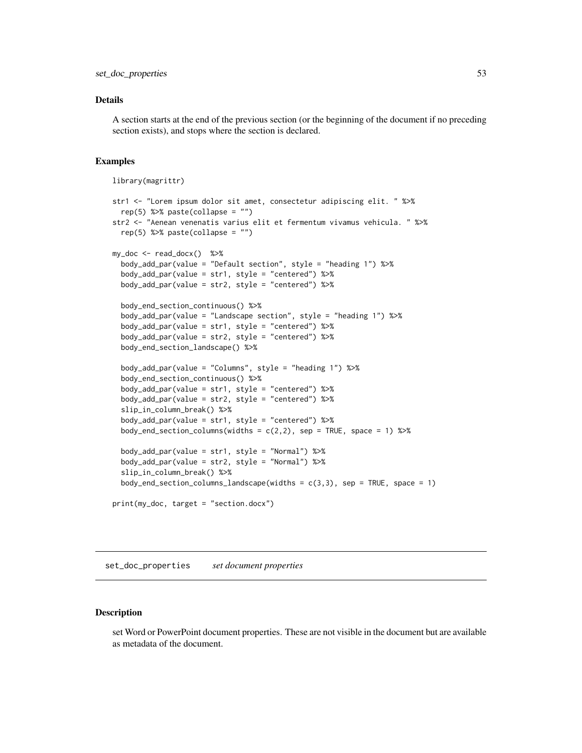### <span id="page-52-0"></span>Details

A section starts at the end of the previous section (or the beginning of the document if no preceding section exists), and stops where the section is declared.

#### Examples

```
library(magrittr)
```

```
str1 <- "Lorem ipsum dolor sit amet, consectetur adipiscing elit. " %>%
 rep(5) %>% paste(collapse = "")
str2 <- "Aenean venenatis varius elit et fermentum vivamus vehicula. " %>%
 rep(5) %>% paste(collapse = "")
my\_doc < - read\_docx() %>%
 body_add_par(value = "Default section", style = "heading 1") %>%
 body_add_par(value = str1, style = "centered") %>%
 body_add_par(value = str2, style = "centered") %>%
 body_end_section_continuous() %>%
 body_add_par(value = "Landscape section", style = "heading 1") %>%
 body_add_par(value = str1, style = "centered") %>%
 body_add_par(value = str2, style = "centered") %>%
 body_end_section_landscape() %>%
 body_add_par(value = "Columns", style = "heading 1") %>%
 body_end_section_continuous() %>%
 body_add_par(value = str1, style = "centered") %>%
 body_add_par(value = str2, style = "centered") %>%
 slip_in_column_break() %>%
 body_add_par(value = str1, style = "centered") %>%
 body_end_section_columns(widths = c(2,2), sep = TRUE, space = 1) %>%
 body_add_par(value = str1, style = "Normal") %>%
 body_add_par(value = str2, style = "Normal") %>%
 slip_in_column_break() %>%
 body_end_section_columns_landscape(widths = c(3,3), sep = TRUE, space = 1)
print(my_doc, target = "section.docx")
```
set\_doc\_properties *set document properties*

#### Description

set Word or PowerPoint document properties. These are not visible in the document but are available as metadata of the document.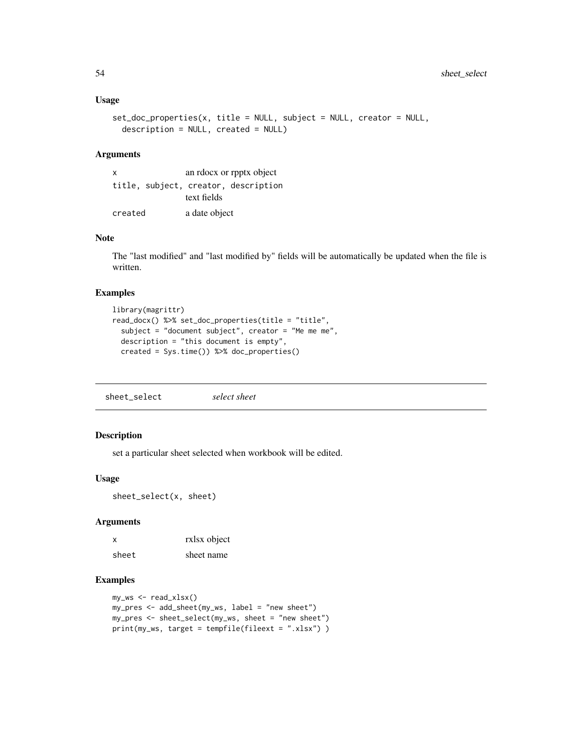#### <span id="page-53-0"></span>Usage

```
set_doc_properties(x, title = NULL, subject = NULL, creator = NULL,
 description = NULL, created = NULL)
```
#### Arguments

| an rdocx or rpptx object<br>X |  |               |                                      |
|-------------------------------|--|---------------|--------------------------------------|
|                               |  |               | title, subject, creator, description |
|                               |  | text fields   |                                      |
| created                       |  | a date object |                                      |

#### Note

The "last modified" and "last modified by" fields will be automatically be updated when the file is written.

### Examples

```
library(magrittr)
read_docx() %>% set_doc_properties(title = "title",
  subject = "document subject", creator = "Me me me",
  description = "this document is empty",
  created = Sys.time()) %>% doc_properties()
```
sheet\_select *select sheet*

#### Description

set a particular sheet selected when workbook will be edited.

#### Usage

sheet\_select(x, sheet)

#### Arguments

| $\mathsf{x}$ | rxlsx object |
|--------------|--------------|
| sheet        | sheet name   |

```
my_ws <- read_xlsx()
my_pres <- add_sheet(my_ws, label = "new sheet")
my_pres <- sheet_select(my_ws, sheet = "new sheet")
print(my_ws, target = tempfile(fileext = ".xlsx") )
```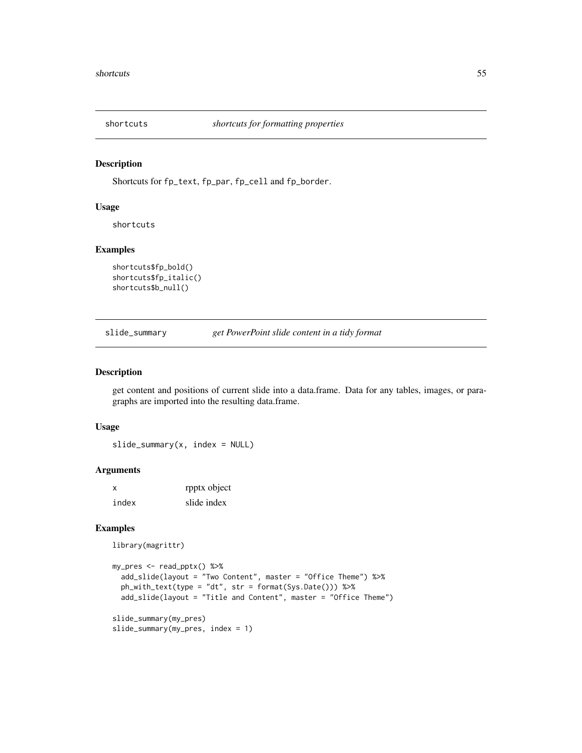<span id="page-54-0"></span>

Shortcuts for fp\_text, fp\_par, fp\_cell and fp\_border.

#### Usage

shortcuts

### Examples

```
shortcuts$fp_bold()
shortcuts$fp_italic()
shortcuts$b_null()
```
<span id="page-54-1"></span>slide\_summary *get PowerPoint slide content in a tidy format*

#### Description

get content and positions of current slide into a data.frame. Data for any tables, images, or paragraphs are imported into the resulting data.frame.

#### Usage

 $slide\_summary(x, index = NULL)$ 

### Arguments

| $\boldsymbol{\mathsf{x}}$ | rpptx object |
|---------------------------|--------------|
| index                     | slide index  |

```
library(magrittr)
```

```
my_pres <- read_pptx() %>%
  add_slide(layout = "Two Content", master = "Office Theme") %>%
  ph_with_text(type = "dt", str = format(Sys.Date())) %>%
  add_slide(layout = "Title and Content", master = "Office Theme")
slide_summary(my_pres)
```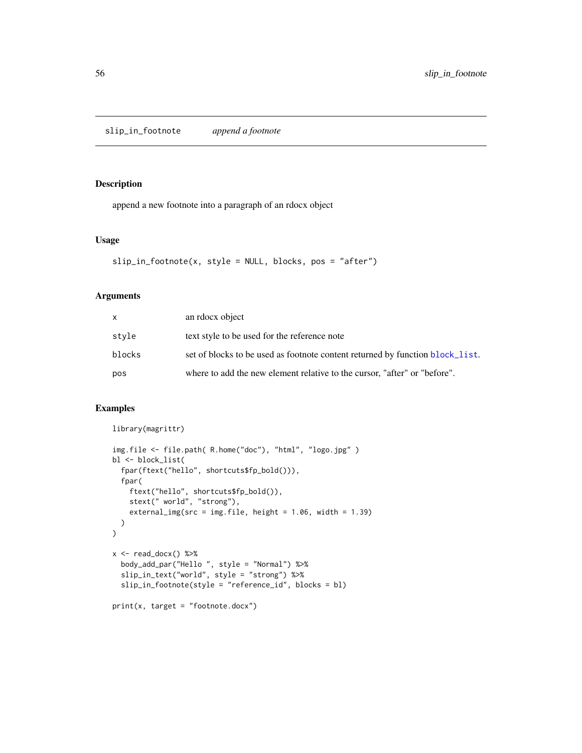<span id="page-55-0"></span>slip\_in\_footnote *append a footnote*

### Description

append a new footnote into a paragraph of an rdocx object

#### Usage

```
slip_in_footnote(x, style = NULL, blocks, pos = "after")
```
#### Arguments

| X.     | an rdocx object                                                               |
|--------|-------------------------------------------------------------------------------|
| style  | text style to be used for the reference note                                  |
| blocks | set of blocks to be used as footnote content returned by function block_list. |
| pos    | where to add the new element relative to the cursor, "after" or "before".     |

```
library(magrittr)
img.file <- file.path( R.home("doc"), "html", "logo.jpg" )
bl <- block_list(
  fpar(ftext("hello", shortcuts$fp_bold())),
  fpar(
    ftext("hello", shortcuts$fp_bold()),
    stext(" world", "strong"),
    external_img(src = img.file, height = 1.06, width = 1.39)
  )
\mathcal{L}x \leftarrow \text{read\_docx() %>}body_add_par("Hello ", style = "Normal") %>%
  slip_in_text("world", style = "strong") %>%
  slip_in_footnote(style = "reference_id", blocks = bl)
print(x, target = "footnote.docx")
```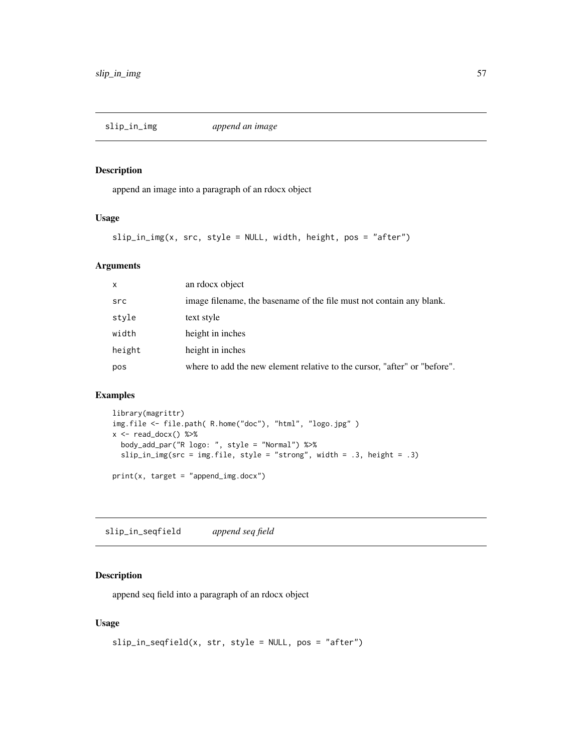<span id="page-56-0"></span>

append an image into a paragraph of an rdocx object

#### Usage

 $slip_in_img(x, src, style = NULL, width, height, pos = "after")$ 

### Arguments

| $\mathsf{x}$ | an rdocx object                                                           |
|--------------|---------------------------------------------------------------------------|
| src          | image filename, the basename of the file must not contain any blank.      |
| style        | text style                                                                |
| width        | height in inches                                                          |
| height       | height in inches                                                          |
| pos          | where to add the new element relative to the cursor, "after" or "before". |

### Examples

```
library(magrittr)
img.file <- file.path( R.home("doc"), "html", "logo.jpg" )
x \leftarrow \text{read\_docx() %>}body_add_par("R logo: ", style = "Normal") %>%
  slip_in_img(src = img.file, style = "strong", width = .3, height = .3)
print(x, target = "append_img.docx")
```
slip\_in\_seqfield *append seq field*

#### Description

append seq field into a paragraph of an rdocx object

### Usage

```
slip_in\_seqfield(x, str, style = NULL, pos = "after")
```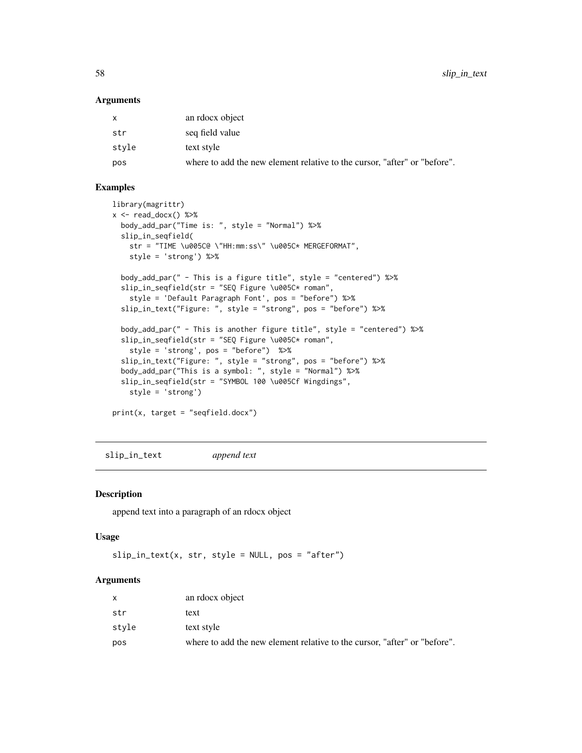<span id="page-57-0"></span>58 slip\_in\_text

#### Arguments

| $\mathsf{x}$ | an rdocx object                                                           |
|--------------|---------------------------------------------------------------------------|
| str          | seq field value                                                           |
| style        | text style                                                                |
| pos          | where to add the new element relative to the cursor, "after" or "before". |

### Examples

```
library(magrittr)
x <- read_docx() %>%
  body_add_par("Time is: ", style = "Normal") %>%
  slip_in_seqfield(
    str = "TIME \u005C@ \"HH:mm:ss\" \u005C* MERGEFORMAT",
   style = 'strong') %>%
  body_add_par(" - This is a figure title", style = "centered") %>%
  slip_in_seqfield(str = "SEQ Figure \u005C* roman",
    style = 'Default Paragraph Font', pos = "before") %>%
  slip_in_text("Figure: ", style = "strong", pos = "before") %>%
  body_add_par(" - This is another figure title", style = "centered") %>%
  slip_in_seqfield(str = "SEQ Figure \u005C* roman",
   style = 'strong', pos = "before") %>%
  slip_in_text("Figure: ", style = "strong", pos = "before") %>%
  body_add_par("This is a symbol: ", style = "Normal") %>%
  slip_in_seqfield(str = "SYMBOL 100 \u005Cf Wingdings",
   style = 'strong')
print(x, target = "seqfield.docx")
```
slip\_in\_text *append text*

#### Description

append text into a paragraph of an rdocx object

#### Usage

```
slip_in\_text(x, str, style = NULL, pos = "after")
```
### Arguments

|       | an rdocx object                                                           |
|-------|---------------------------------------------------------------------------|
| str   | text                                                                      |
| stvle | text style                                                                |
| pos   | where to add the new element relative to the cursor, "after" or "before". |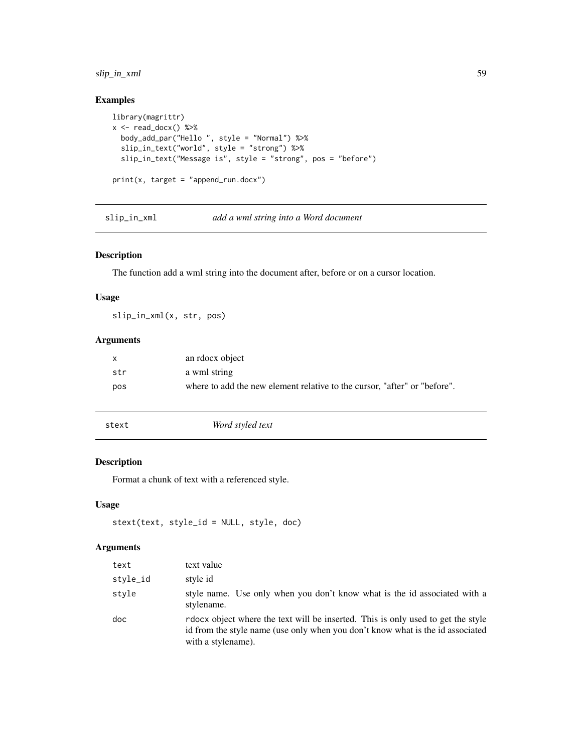### <span id="page-58-0"></span>slip\_in\_xml 59

### Examples

```
library(magrittr)
x \leftarrow \text{read\_docx() %>}body_add_par("Hello ", style = "Normal") %>%
  slip_in_text("world", style = "strong") %>%
  slip_in_text("Message is", style = "strong", pos = "before")
print(x, target = "append_run.docx")
```
slip\_in\_xml *add a wml string into a Word document*

### Description

The function add a wml string into the document after, before or on a cursor location.

### Usage

slip\_in\_xml(x, str, pos)

### Arguments

| X   | an rdocx object                                                           |
|-----|---------------------------------------------------------------------------|
| str | a wml string                                                              |
| pos | where to add the new element relative to the cursor. "after" or "before". |

stext *Word styled text*

### Description

Format a chunk of text with a referenced style.

#### Usage

```
stext(text, style_id = NULL, style, doc)
```
### Arguments

| text     | text value                                                                                                                                                                               |
|----------|------------------------------------------------------------------------------------------------------------------------------------------------------------------------------------------|
| style_id | style id                                                                                                                                                                                 |
| style    | style name. Use only when you don't know what is the id associated with a<br>stylename.                                                                                                  |
| doc      | rdocx object where the text will be inserted. This is only used to get the style<br>id from the style name (use only when you don't know what is the id associated<br>with a stylename). |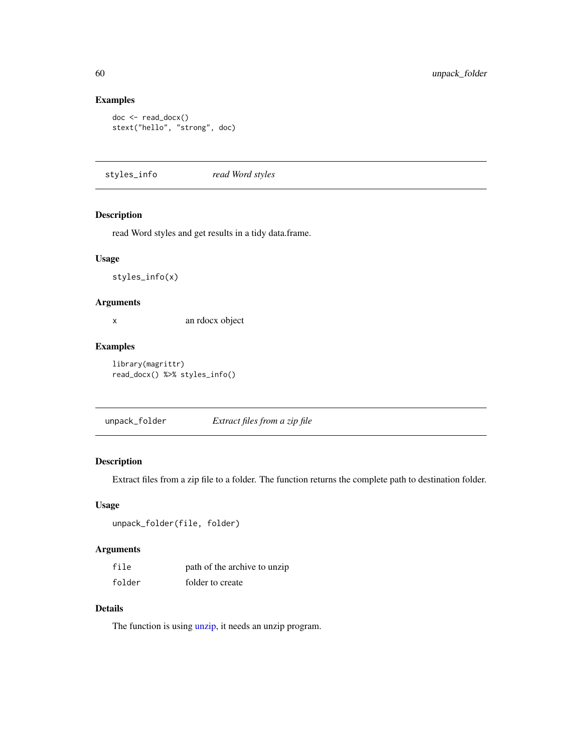### Examples

```
doc <- read_docx()
stext("hello", "strong", doc)
```
styles\_info *read Word styles*

### Description

read Word styles and get results in a tidy data.frame.

#### Usage

styles\_info(x)

### Arguments

x an rdocx object

#### Examples

library(magrittr) read\_docx() %>% styles\_info()

unpack\_folder *Extract files from a zip file*

### Description

Extract files from a zip file to a folder. The function returns the complete path to destination folder.

### Usage

```
unpack_folder(file, folder)
```
### Arguments

| file   | path of the archive to unzip |
|--------|------------------------------|
| folder | folder to create             |

### Details

The function is using [unzip,](#page-0-0) it needs an unzip program.

<span id="page-59-0"></span>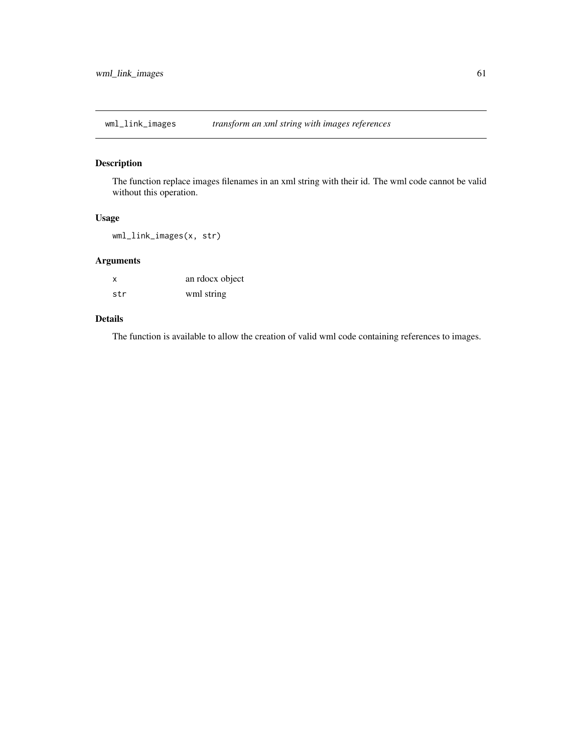<span id="page-60-1"></span><span id="page-60-0"></span>wml\_link\_images *transform an xml string with images references*

### Description

The function replace images filenames in an xml string with their id. The wml code cannot be valid without this operation.

#### Usage

wml\_link\_images(x, str)

### Arguments

| X   | an rdocx object |
|-----|-----------------|
| str | wml string      |

### Details

The function is available to allow the creation of valid wml code containing references to images.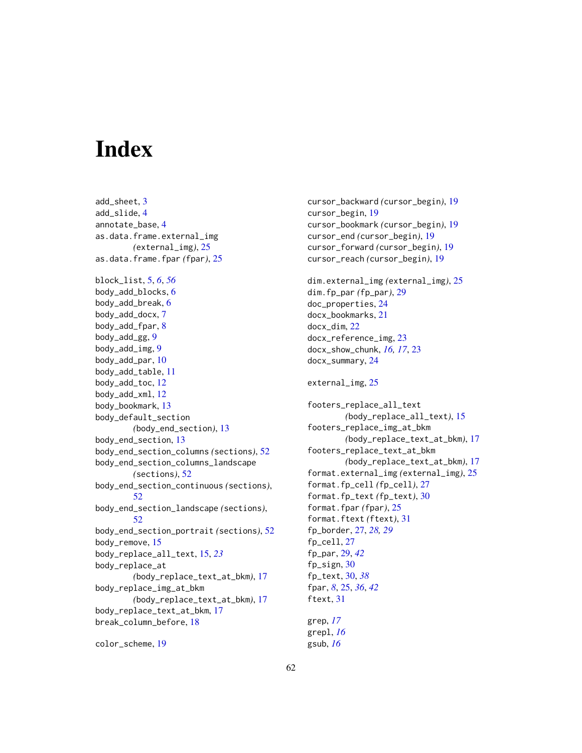# <span id="page-61-0"></span>**Index**

add\_sheet, [3](#page-2-0) add\_slide, [4](#page-3-0) annotate\_base, [4](#page-3-0) as.data.frame.external\_img *(*external\_img*)*, [25](#page-24-0) as.data.frame.fpar *(*fpar*)*, [25](#page-24-0) block\_list, [5,](#page-4-0) *[6](#page-5-0)*, *[56](#page-55-0)* body\_add\_blocks, [6](#page-5-0) body\_add\_break, [6](#page-5-0) body\_add\_docx, [7](#page-6-0) body\_add\_fpar, [8](#page-7-0) body\_add\_gg, [9](#page-8-0) body\_add\_img, [9](#page-8-0) body\_add\_par, [10](#page-9-0) body\_add\_table, [11](#page-10-0) body\_add\_toc, [12](#page-11-0) body\_add\_xml, [12](#page-11-0) body\_bookmark, [13](#page-12-0) body\_default\_section *(*body\_end\_section*)*, [13](#page-12-0) body\_end\_section, [13](#page-12-0) body\_end\_section\_columns *(*sections*)*, [52](#page-51-0) body\_end\_section\_columns\_landscape *(*sections*)*, [52](#page-51-0) body\_end\_section\_continuous *(*sections*)*, [52](#page-51-0) body\_end\_section\_landscape *(*sections*)*, [52](#page-51-0) body\_end\_section\_portrait *(*sections*)*, [52](#page-51-0) body\_remove, [15](#page-14-0) body\_replace\_all\_text, [15,](#page-14-0) *[23](#page-22-0)* body\_replace\_at *(*body\_replace\_text\_at\_bkm*)*, [17](#page-16-0) body\_replace\_img\_at\_bkm *(*body\_replace\_text\_at\_bkm*)*, [17](#page-16-0) body\_replace\_text\_at\_bkm, [17](#page-16-0) break\_column\_before, [18](#page-17-0)

```
color_scheme, 19
```
cursor\_backward *(*cursor\_begin*)*, [19](#page-18-0) cursor\_begin, [19](#page-18-0) cursor\_bookmark *(*cursor\_begin*)*, [19](#page-18-0) cursor\_end *(*cursor\_begin*)*, [19](#page-18-0) cursor\_forward *(*cursor\_begin*)*, [19](#page-18-0) cursor\_reach *(*cursor\_begin*)*, [19](#page-18-0)

dim.external\_img *(*external\_img*)*, [25](#page-24-0) dim.fp\_par *(*fp\_par*)*, [29](#page-28-0) doc\_properties, [24](#page-23-0) docx\_bookmarks, [21](#page-20-0) docx\_dim, [22](#page-21-0) docx\_reference\_img, [23](#page-22-0) docx\_show\_chunk, *[16,](#page-15-0) [17](#page-16-0)*, [23](#page-22-0) docx\_summary, [24](#page-23-0)

external\_img, [25](#page-24-0)

footers\_replace\_all\_text *(*body\_replace\_all\_text*)*, [15](#page-14-0) footers\_replace\_img\_at\_bkm *(*body\_replace\_text\_at\_bkm*)*, [17](#page-16-0) footers\_replace\_text\_at\_bkm *(*body\_replace\_text\_at\_bkm*)*, [17](#page-16-0) format.external\_img *(*external\_img*)*, [25](#page-24-0) format.fp\_cell *(*fp\_cell*)*, [27](#page-26-0) format.fp\_text *(*fp\_text*)*, [30](#page-29-0) format.fpar *(*fpar*)*, [25](#page-24-0) format.ftext *(*ftext*)*, [31](#page-30-0) fp\_border, [27,](#page-26-0) *[28,](#page-27-0) [29](#page-28-0)* fp\_cell, [27](#page-26-0) fp\_par, [29,](#page-28-0) *[42](#page-41-0)* fp\_sign, [30](#page-29-0) fp\_text, [30,](#page-29-0) *[38](#page-37-0)* fpar, *[8](#page-7-0)*, [25,](#page-24-0) *[36](#page-35-0)*, *[42](#page-41-0)* ftext, [31](#page-30-0) grep, *[17](#page-16-0)*

grepl, *[16](#page-15-0)* gsub, *[16](#page-15-0)*